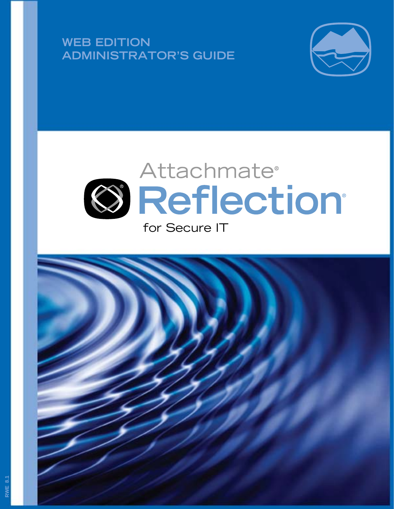**WEB EDITION** ADMINISTRATOR'S GUIDE





# for Secure IT

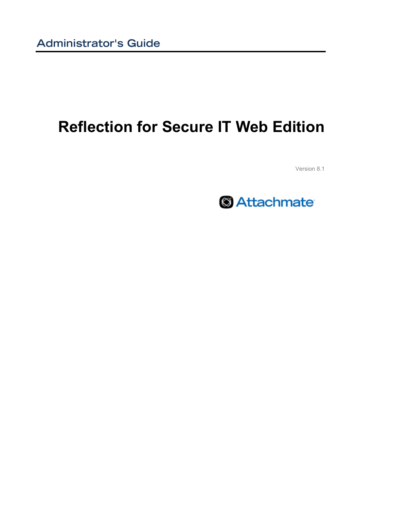# **Reflection for Secure IT Web Edition**

Version 8.1

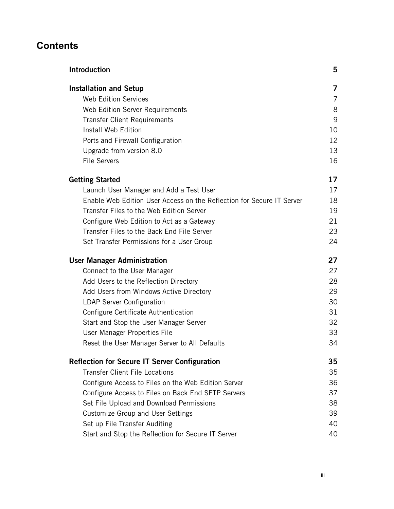## **Contents**

| <b>Introduction</b>                                                   | 5  |
|-----------------------------------------------------------------------|----|
| <b>Installation and Setup</b>                                         | 7  |
| <b>Web Edition Services</b>                                           | 7  |
| Web Edition Server Requirements                                       | 8  |
| <b>Transfer Client Requirements</b>                                   | 9  |
| Install Web Edition                                                   | 10 |
| Ports and Firewall Configuration                                      | 12 |
| Upgrade from version 8.0                                              | 13 |
| <b>File Servers</b>                                                   | 16 |
| <b>Getting Started</b>                                                | 17 |
| Launch User Manager and Add a Test User                               | 17 |
| Enable Web Edition User Access on the Reflection for Secure IT Server | 18 |
| Transfer Files to the Web Edition Server                              | 19 |
| Configure Web Edition to Act as a Gateway                             | 21 |
| Transfer Files to the Back End File Server                            | 23 |
| Set Transfer Permissions for a User Group                             | 24 |
| <b>User Manager Administration</b>                                    | 27 |
| Connect to the User Manager                                           | 27 |
| Add Users to the Reflection Directory                                 | 28 |
| Add Users from Windows Active Directory                               | 29 |
| <b>LDAP Server Configuration</b>                                      | 30 |
| Configure Certificate Authentication                                  | 31 |
| Start and Stop the User Manager Server                                | 32 |
| User Manager Properties File                                          | 33 |
| Reset the User Manager Server to All Defaults                         | 34 |
| <b>Reflection for Secure IT Server Configuration</b>                  | 35 |
| <b>Transfer Client File Locations</b>                                 | 35 |
| Configure Access to Files on the Web Edition Server                   | 36 |
| Configure Access to Files on Back End SFTP Servers                    | 37 |
| Set File Upload and Download Permissions                              | 38 |
| <b>Customize Group and User Settings</b>                              | 39 |
| Set up File Transfer Auditing                                         | 40 |
| Start and Stop the Reflection for Secure IT Server                    | 40 |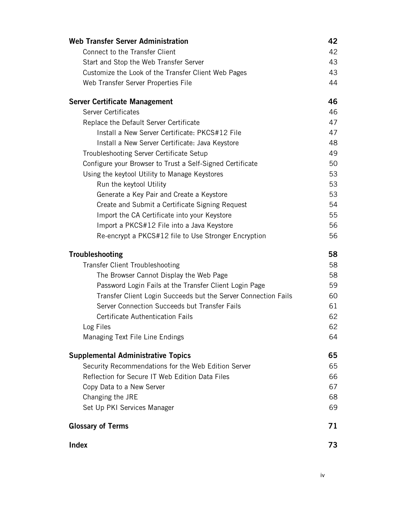| Connect to the Transfer Client<br>42<br>43<br>Start and Stop the Web Transfer Server<br>Customize the Look of the Transfer Client Web Pages<br>43<br>44<br>Web Transfer Server Properties File<br>46<br><b>Server Certificate Management</b><br><b>Server Certificates</b><br>46<br>47<br>Replace the Default Server Certificate<br>Install a New Server Certificate: PKCS#12 File<br>47<br>48<br>Install a New Server Certificate: Java Keystore<br>49<br>Troubleshooting Server Certificate Setup<br>Configure your Browser to Trust a Self-Signed Certificate<br>50<br>53<br>Using the keytool Utility to Manage Keystores<br>53<br>Run the keytool Utility<br>Generate a Key Pair and Create a Keystore<br>53<br>54<br>Create and Submit a Certificate Signing Request<br>55<br>Import the CA Certificate into your Keystore<br>Import a PKCS#12 File into a Java Keystore<br>56<br>56<br>Re-encrypt a PKCS#12 file to Use Stronger Encryption<br>58<br><b>Troubleshooting</b><br>58<br><b>Transfer Client Troubleshooting</b><br>58<br>The Browser Cannot Display the Web Page<br>59<br>Password Login Fails at the Transfer Client Login Page<br>Transfer Client Login Succeeds but the Server Connection Fails<br>60<br>Server Connection Succeeds but Transfer Fails<br>61 |
|------------------------------------------------------------------------------------------------------------------------------------------------------------------------------------------------------------------------------------------------------------------------------------------------------------------------------------------------------------------------------------------------------------------------------------------------------------------------------------------------------------------------------------------------------------------------------------------------------------------------------------------------------------------------------------------------------------------------------------------------------------------------------------------------------------------------------------------------------------------------------------------------------------------------------------------------------------------------------------------------------------------------------------------------------------------------------------------------------------------------------------------------------------------------------------------------------------------------------------------------------------------------------------|
|                                                                                                                                                                                                                                                                                                                                                                                                                                                                                                                                                                                                                                                                                                                                                                                                                                                                                                                                                                                                                                                                                                                                                                                                                                                                                    |
|                                                                                                                                                                                                                                                                                                                                                                                                                                                                                                                                                                                                                                                                                                                                                                                                                                                                                                                                                                                                                                                                                                                                                                                                                                                                                    |
|                                                                                                                                                                                                                                                                                                                                                                                                                                                                                                                                                                                                                                                                                                                                                                                                                                                                                                                                                                                                                                                                                                                                                                                                                                                                                    |
|                                                                                                                                                                                                                                                                                                                                                                                                                                                                                                                                                                                                                                                                                                                                                                                                                                                                                                                                                                                                                                                                                                                                                                                                                                                                                    |
|                                                                                                                                                                                                                                                                                                                                                                                                                                                                                                                                                                                                                                                                                                                                                                                                                                                                                                                                                                                                                                                                                                                                                                                                                                                                                    |
|                                                                                                                                                                                                                                                                                                                                                                                                                                                                                                                                                                                                                                                                                                                                                                                                                                                                                                                                                                                                                                                                                                                                                                                                                                                                                    |
|                                                                                                                                                                                                                                                                                                                                                                                                                                                                                                                                                                                                                                                                                                                                                                                                                                                                                                                                                                                                                                                                                                                                                                                                                                                                                    |
|                                                                                                                                                                                                                                                                                                                                                                                                                                                                                                                                                                                                                                                                                                                                                                                                                                                                                                                                                                                                                                                                                                                                                                                                                                                                                    |
|                                                                                                                                                                                                                                                                                                                                                                                                                                                                                                                                                                                                                                                                                                                                                                                                                                                                                                                                                                                                                                                                                                                                                                                                                                                                                    |
|                                                                                                                                                                                                                                                                                                                                                                                                                                                                                                                                                                                                                                                                                                                                                                                                                                                                                                                                                                                                                                                                                                                                                                                                                                                                                    |
|                                                                                                                                                                                                                                                                                                                                                                                                                                                                                                                                                                                                                                                                                                                                                                                                                                                                                                                                                                                                                                                                                                                                                                                                                                                                                    |
|                                                                                                                                                                                                                                                                                                                                                                                                                                                                                                                                                                                                                                                                                                                                                                                                                                                                                                                                                                                                                                                                                                                                                                                                                                                                                    |
|                                                                                                                                                                                                                                                                                                                                                                                                                                                                                                                                                                                                                                                                                                                                                                                                                                                                                                                                                                                                                                                                                                                                                                                                                                                                                    |
|                                                                                                                                                                                                                                                                                                                                                                                                                                                                                                                                                                                                                                                                                                                                                                                                                                                                                                                                                                                                                                                                                                                                                                                                                                                                                    |
|                                                                                                                                                                                                                                                                                                                                                                                                                                                                                                                                                                                                                                                                                                                                                                                                                                                                                                                                                                                                                                                                                                                                                                                                                                                                                    |
|                                                                                                                                                                                                                                                                                                                                                                                                                                                                                                                                                                                                                                                                                                                                                                                                                                                                                                                                                                                                                                                                                                                                                                                                                                                                                    |
|                                                                                                                                                                                                                                                                                                                                                                                                                                                                                                                                                                                                                                                                                                                                                                                                                                                                                                                                                                                                                                                                                                                                                                                                                                                                                    |
|                                                                                                                                                                                                                                                                                                                                                                                                                                                                                                                                                                                                                                                                                                                                                                                                                                                                                                                                                                                                                                                                                                                                                                                                                                                                                    |
|                                                                                                                                                                                                                                                                                                                                                                                                                                                                                                                                                                                                                                                                                                                                                                                                                                                                                                                                                                                                                                                                                                                                                                                                                                                                                    |
|                                                                                                                                                                                                                                                                                                                                                                                                                                                                                                                                                                                                                                                                                                                                                                                                                                                                                                                                                                                                                                                                                                                                                                                                                                                                                    |
|                                                                                                                                                                                                                                                                                                                                                                                                                                                                                                                                                                                                                                                                                                                                                                                                                                                                                                                                                                                                                                                                                                                                                                                                                                                                                    |
|                                                                                                                                                                                                                                                                                                                                                                                                                                                                                                                                                                                                                                                                                                                                                                                                                                                                                                                                                                                                                                                                                                                                                                                                                                                                                    |
|                                                                                                                                                                                                                                                                                                                                                                                                                                                                                                                                                                                                                                                                                                                                                                                                                                                                                                                                                                                                                                                                                                                                                                                                                                                                                    |
|                                                                                                                                                                                                                                                                                                                                                                                                                                                                                                                                                                                                                                                                                                                                                                                                                                                                                                                                                                                                                                                                                                                                                                                                                                                                                    |
| <b>Certificate Authentication Fails</b><br>62                                                                                                                                                                                                                                                                                                                                                                                                                                                                                                                                                                                                                                                                                                                                                                                                                                                                                                                                                                                                                                                                                                                                                                                                                                      |
| 62<br>Log Files                                                                                                                                                                                                                                                                                                                                                                                                                                                                                                                                                                                                                                                                                                                                                                                                                                                                                                                                                                                                                                                                                                                                                                                                                                                                    |
| Managing Text File Line Endings<br>64                                                                                                                                                                                                                                                                                                                                                                                                                                                                                                                                                                                                                                                                                                                                                                                                                                                                                                                                                                                                                                                                                                                                                                                                                                              |
| <b>Supplemental Administrative Topics</b><br>65                                                                                                                                                                                                                                                                                                                                                                                                                                                                                                                                                                                                                                                                                                                                                                                                                                                                                                                                                                                                                                                                                                                                                                                                                                    |
| Security Recommendations for the Web Edition Server<br>65                                                                                                                                                                                                                                                                                                                                                                                                                                                                                                                                                                                                                                                                                                                                                                                                                                                                                                                                                                                                                                                                                                                                                                                                                          |
| Reflection for Secure IT Web Edition Data Files<br>66                                                                                                                                                                                                                                                                                                                                                                                                                                                                                                                                                                                                                                                                                                                                                                                                                                                                                                                                                                                                                                                                                                                                                                                                                              |
| 67<br>Copy Data to a New Server                                                                                                                                                                                                                                                                                                                                                                                                                                                                                                                                                                                                                                                                                                                                                                                                                                                                                                                                                                                                                                                                                                                                                                                                                                                    |
| Changing the JRE<br>68                                                                                                                                                                                                                                                                                                                                                                                                                                                                                                                                                                                                                                                                                                                                                                                                                                                                                                                                                                                                                                                                                                                                                                                                                                                             |
| Set Up PKI Services Manager<br>69                                                                                                                                                                                                                                                                                                                                                                                                                                                                                                                                                                                                                                                                                                                                                                                                                                                                                                                                                                                                                                                                                                                                                                                                                                                  |
| <b>Glossary of Terms</b><br>71                                                                                                                                                                                                                                                                                                                                                                                                                                                                                                                                                                                                                                                                                                                                                                                                                                                                                                                                                                                                                                                                                                                                                                                                                                                     |
| <b>Index</b><br>73                                                                                                                                                                                                                                                                                                                                                                                                                                                                                                                                                                                                                                                                                                                                                                                                                                                                                                                                                                                                                                                                                                                                                                                                                                                                 |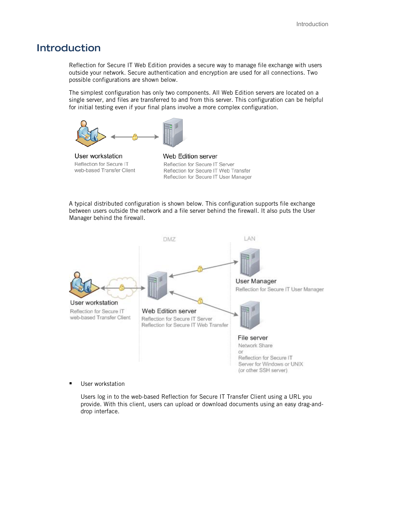### <span id="page-4-0"></span>**Introduction**

Reflection for Secure IT Web Edition provides a secure way to manage file exchange with users outside your network. Secure authentication and encryption are used for all connections. Two possible configurations are shown below.

The simplest configuration has only two components. All Web Edition servers are located on a single server, and files are transferred to and from this server. This configuration can be helpful for initial testing even if your final plans involve a more complex configuration.



User workstation Reflection for Secure IT web-based Transfer Client

Web Edition server Reflection for Secure IT Server Reflection for Secure IT Web Transfer Reflection for Secure IT User Manager

A typical distributed configuration is shown below. This configuration supports file exchange between users outside the network and a file server behind the firewall. It also puts the User Manager behind the firewall.



User workstation

Users log in to the web-based Reflection for Secure IT Transfer Client using a URL you provide. With this client, users can upload or download documents using an easy drag-anddrop interface.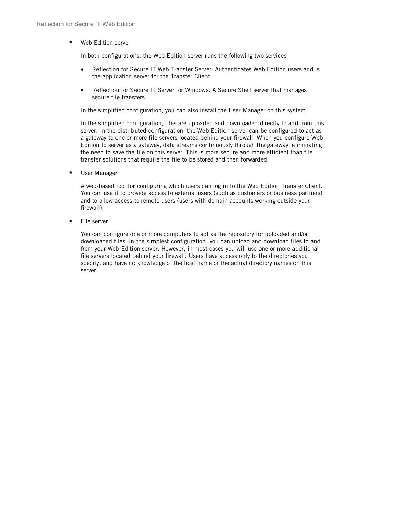**Web Edition server** 

In both configurations, the Web Edition server runs the following two services

- Reflection for Secure IT Web Transfer Server: Authenticates Web Edition users and is the application server for the Transfer Client.
- Reflection for Secure IT Server for Windows: A Secure Shell server that manages secure file transfers.

In the simplified configuration, you can also install the User Manager on this system.

In the simplified configuration, files are uploaded and downloaded directly to and from this server. In the distributed configuration, the Web Edition server can be configured to act as a gateway to one or more file servers located behind your firewall. When you configure Web Edition to server as a gateway, data streams continuously through the gateway, eliminating the need to save the file on this server. This is more secure and more efficient than file transfer solutions that require the file to be stored and then forwarded.

**User Manager** 

A web-based tool for configuring which users can log in to the Web Edition Transfer Client. You can use it to provide access to external users (such as customers or business partners) and to allow access to remote users (users with domain accounts working outside your firewall).

**File server** 

You can configure one or more computers to act as the repository for uploaded and/or downloaded files. In the simplest configuration, you can upload and download files to and from your Web Edition server. However, in most cases you will use one or more additional file servers located behind your firewall. Users have access only to the directories you specify, and have no knowledge of the host name or the actual directory names on this server.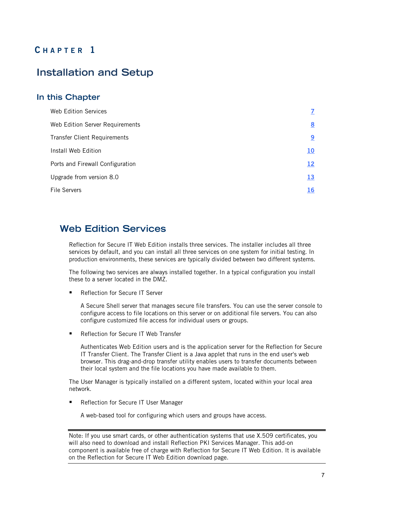## **C HAPTER 1**

## <span id="page-6-0"></span>**Installation and Setup**

### **In this Chapter**

| Web Edition Services                |             |
|-------------------------------------|-------------|
| Web Edition Server Requirements     | $8^{\circ}$ |
| <b>Transfer Client Requirements</b> | <u>9</u>    |
| Install Web Edition                 | <u>10</u>   |
| Ports and Firewall Configuration    | <u>12</u>   |
| Upgrade from version 8.0            | <u>13</u>   |
| <b>File Servers</b>                 | 16          |

### <span id="page-6-1"></span>**Web Edition Services**

Reflection for Secure IT Web Edition installs three services. The installer includes all three services by default, and you can install all three services on one system for initial testing. In production environments, these services are typically divided between two different systems.

The following two services are always installed together. In a typical configuration you install these to a server located in the DMZ.

Reflection for Secure IT Server

A Secure Shell server that manages secure file transfers. You can use the server console to configure access to file locations on this server or on additional file servers. You can also configure customized file access for individual users or groups.

Reflection for Secure IT Web Transfer

Authenticates Web Edition users and is the application server for the Reflection for Secure IT Transfer Client. The Transfer Client is a Java applet that runs in the end user's web browser. This drag-and-drop transfer utility enables users to transfer documents between their local system and the file locations you have made available to them.

The User Manager is typically installed on a different system, located within your local area network.

**Reflection for Secure IT User Manager** 

A web-based tool for configuring which users and groups have access.

Note: If you use smart cards, or other authentication systems that use X.509 certificates, you will also need to download and install Reflection PKI Services Manager. This add-on component is available free of charge with Reflection for Secure IT Web Edition. It is available on the Reflection for Secure IT Web Edition download page.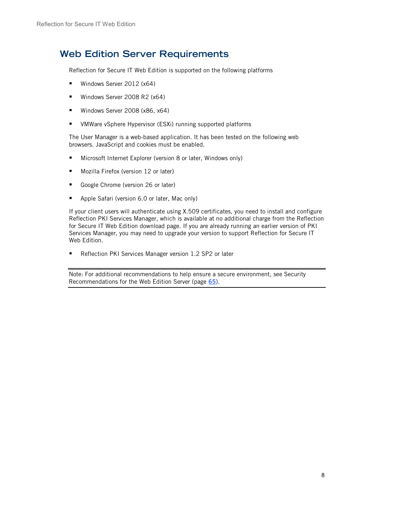### <span id="page-7-0"></span>**Web Edition Server Requirements**

Reflection for Secure IT Web Edition is supported on the following platforms

- Windows Server 2012 (x64)
- Windows Server 2008 R2 (x64)
- Windows Server 2008 (x86, x64)
- **UMWare vSphere Hypervisor (ESXi) running supported platforms**

The User Manager is a web-based application. It has been tested on the following web browsers. JavaScript and cookies must be enabled.

- Microsoft Internet Explorer (version 8 or later, Windows only)
- **Mozilla Firefox (version 12 or later)**
- Google Chrome (version 26 or later)
- **Apple Safari (version 6.0 or later, Mac only)**

If your client users will authenticate using X.509 certificates, you need to install and configure Reflection PKI Services Manager, which is available at no additional charge from the Reflection for Secure IT Web Edition download page. If you are already running an earlier version of PKI Services Manager, you may need to upgrade your version to support Reflection for Secure IT Web Edition.

Reflection PKI Services Manager version 1.2 SP2 or later

Note: For additional recommendations to help ensure a secure environment, see Security Recommendations for the Web Edition Server (page **[65](#page-64-1)**).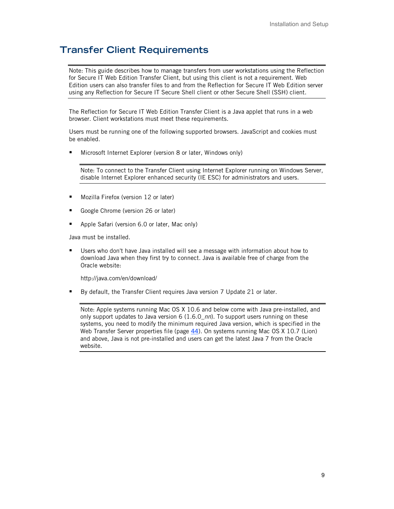## <span id="page-8-0"></span>**Transfer Client Requirements**

Note: This guide describes how to manage transfers from user workstations using the Reflection for Secure IT Web Edition Transfer Client, but using this client is not a requirement. Web Edition users can also transfer files to and from the Reflection for Secure IT Web Edition server using any Reflection for Secure IT Secure Shell client or other Secure Shell (SSH) client.

The Reflection for Secure IT Web Edition Transfer Client is a Java applet that runs in a web browser. Client workstations must meet these requirements.

Users must be running one of the following supported browsers. JavaScript and cookies must be enabled.

**Microsoft Internet Explorer (version 8 or later, Windows only)** 

Note: To connect to the Transfer Client using Internet Explorer running on Windows Server, disable Internet Explorer enhanced security (IE ESC) for administrators and users.

- **Mozilla Firefox (version 12 or later)**
- Google Chrome (version 26 or later)
- **Apple Safari (version 6.0 or later, Mac only)**

Java must be installed.

 Users who don't have Java installed will see a message with information about how to download Java when they first try to connect. Java is available free of charge from the Oracle website:

http://java.com/en/download/

By default, the Transfer Client requires Java version 7 Update 21 or later.

Note: Apple systems running Mac OS X 10.6 and below come with Java pre-installed, and only support updates to Java version 6 (1.6.0\_*nn*). To support users running on these systems, you need to modify the minimum required Java version, which is specified in the Web Transfer Server properties file (page **[44](#page-43-0)**). On systems running Mac OS X 10.7 (Lion) and above, Java is not pre-installed and users can get the latest Java 7 from the Oracle website.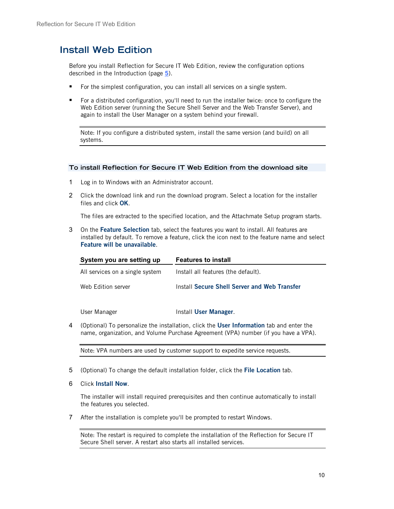## <span id="page-9-0"></span>**Install Web Edition**

Before you install Reflection for Secure IT Web Edition, review the configuration options described in the Introduction (page **[5](#page-4-0)**).

- For the simplest configuration, you can install all services on a single system.
- For a distributed configuration, you'll need to run the installer twice: once to configure the Web Edition server (running the Secure Shell Server and the Web Transfer Server), and again to install the User Manager on a system behind your firewall.

Note: If you configure a distributed system, install the same version (and build) on all systems.

#### **To install Reflection for Secure IT Web Edition from the download site**

- 1 Log in to Windows with an Administrator account.
- 2 Click the download link and run the download program. Select a location for the installer files and click **OK**.

The files are extracted to the specified location, and the Attachmate Setup program starts.

3 On the **Feature Selection** tab, select the features you want to install. All features are installed by default. To remove a feature, click the icon next to the feature name and select **Feature will be unavailable**.

| System you are setting up       | <b>Features to install</b>                   |
|---------------------------------|----------------------------------------------|
| All services on a single system | Install all features (the default).          |
| Web Edition server              | Install Secure Shell Server and Web Transfer |
| User Manager                    | Install User Manager.                        |

4 (Optional) To personalize the installation, click the **User Information** tab and enter the name, organization, and Volume Purchase Agreement (VPA) number (if you have a VPA).

Note: VPA numbers are used by customer support to expedite service requests.

- 5 (Optional) To change the default installation folder, click the **File Location** tab.
- 6 Click **Install Now**.

The installer will install required prerequisites and then continue automatically to install the features you selected.

7 After the installation is complete you'll be prompted to restart Windows.

Note: The restart is required to complete the installation of the Reflection for Secure IT Secure Shell server. A restart also starts all installed services.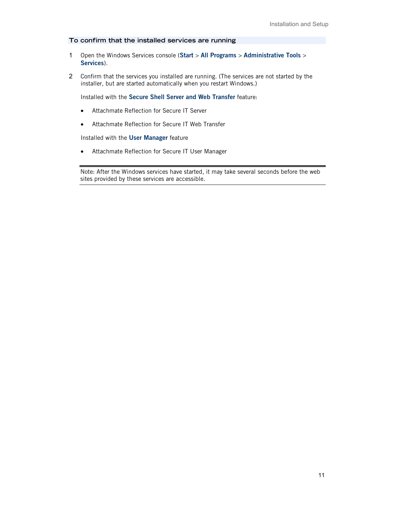#### **To confirm that the installed services are running**

- 1 Open the Windows Services console (**Start** > **All Programs** > **Administrative Tools** > **Services**).
- 2 Confirm that the services you installed are running. (The services are not started by the installer, but are started automatically when you restart Windows.)

Installed with the **Secure Shell Server and Web Transfer** feature:

- Attachmate Reflection for Secure IT Server
- Attachmate Reflection for Secure IT Web Transfer

Installed with the **User Manager** feature

• Attachmate Reflection for Secure IT User Manager

Note: After the Windows services have started, it may take several seconds before the web sites provided by these services are accessible.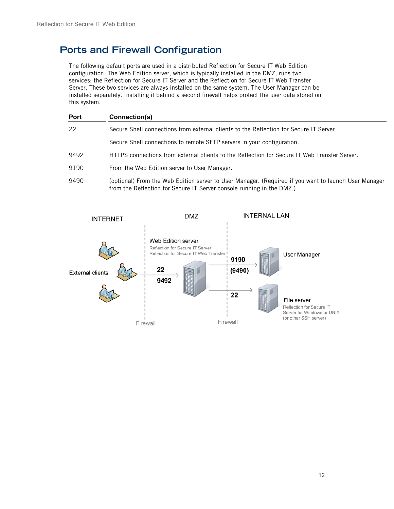## <span id="page-11-0"></span>**Ports and Firewall Configuration**

The following default ports are used in a distributed Reflection for Secure IT Web Edition configuration. The Web Edition server, which is typically installed in the DMZ, runs two services: the Reflection for Secure IT Server and the Reflection for Secure IT Web Transfer Server. These two services are always installed on the same system. The User Manager can be installed separately. Installing it behind a second firewall helps protect the user data stored on this system.

| Port | Connection(s)                                                                                                                                                                 |
|------|-------------------------------------------------------------------------------------------------------------------------------------------------------------------------------|
| 22   | Secure Shell connections from external clients to the Reflection for Secure IT Server.                                                                                        |
|      | Secure Shell connections to remote SFTP servers in your configuration.                                                                                                        |
| 9492 | HTTPS connections from external clients to the Reflection for Secure IT Web Transfer Server.                                                                                  |
| 9190 | From the Web Edition server to User Manager.                                                                                                                                  |
| 9490 | (optional) From the Web Edition server to User Manager. (Required if you want to launch User Manager<br>from the Reflection for Secure IT Server console running in the DMZ.) |

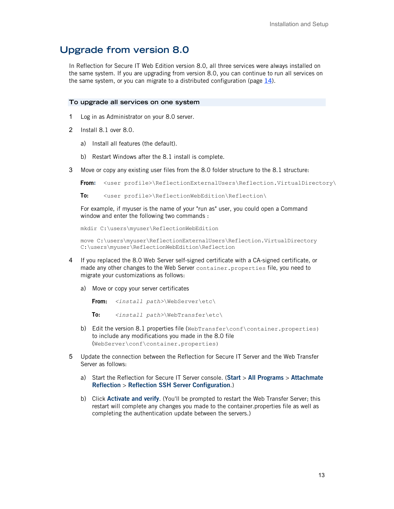### <span id="page-12-0"></span>**Upgrade from version 8.0**

In Reflection for Secure IT Web Edition version 8.0, all three services were always installed on the same system. If you are upgrading from version 8.0, you can continue to run all services on the same system, or you can migrate to a distributed configuration (page **[14](#page-13-0)**).

#### **To upgrade all services on one system**

- 1 Log in as Administrator on your 8.0 server.
- 2 Install 8.1 over 8.0.
	- a) Install all features (the default).
	- b) Restart Windows after the 8.1 install is complete.
- 3 Move or copy any existing user files from the 8.0 folder structure to the 8.1 structure:

```
From: <user profile>\ReflectionExternalUsers\Reflection.VirtualDirectory\
```
**To:** <user profile>\ReflectionWebEdition\Reflection\

For example, if myuser is the name of your "run as" user, you could open a Command window and enter the following two commands :

mkdir C:\users\myuser\ReflectionWebEdition

```
move C:\users\myuser\ReflectionExternalUsers\Reflection.VirtualDirectory 
C:\users\myuser\ReflectionWebEdition\Reflection
```
- 4 If you replaced the 8.0 Web Server self-signed certificate with a CA-signed certificate, or made any other changes to the Web Server container.properties file, you need to migrate your customizations as follows:
	- a) Move or copy your server certificates

**From:** *<install path>*\WebServer\etc\

**To:** *<install path>*\WebTransfer\etc\

- b) Edit the version 8.1 properties file (WebTransfer\conf\container.properties) to include any modifications you made in the 8.0 file (WebServer\conf\container.properties)
- 5 Update the connection between the Reflection for Secure IT Server and the Web Transfer Server as follows:
	- a) Start the Reflection for Secure IT Server console. (**Start** > **All Programs** > **Attachmate Reflection** > **Reflection SSH Server Configuration**.)
	- b) Click **Activate and verify**. (You'll be prompted to restart the Web Transfer Server; this restart will complete any changes you made to the container.properties file as well as completing the authentication update between the servers.)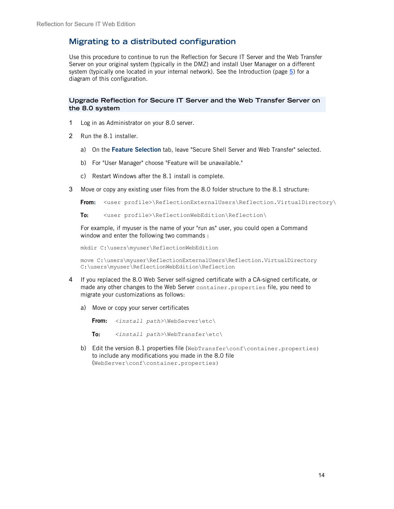### <span id="page-13-0"></span>**Migrating to a distributed configuration**

Use this procedure to continue to run the Reflection for Secure IT Server and the Web Transfer Server on your original system (typically in the DMZ) and install User Manager on a different system (typically one located in your internal network). See the Introduction (page **[5](#page-4-0)**) for a diagram of this configuration.

#### **Upgrade Reflection for Secure IT Server and the Web Transfer Server on the 8.0 system**

- 1 Log in as Administrator on your 8.0 server.
- 2 Run the 8.1 installer.
	- a) On the **Feature Selection** tab, leave "Secure Shell Server and Web Transfer" selected.
	- b) For "User Manager" choose "Feature will be unavailable."
	- c) Restart Windows after the 8.1 install is complete.
- 3 Move or copy any existing user files from the 8.0 folder structure to the 8.1 structure:

```
From: <user profile>\ReflectionExternalUsers\Reflection.VirtualDirectory\
```
**To:** <user profile>\ReflectionWebEdition\Reflection\

For example, if myuser is the name of your "run as" user, you could open a Command window and enter the following two commands :

mkdir C:\users\myuser\ReflectionWebEdition

move C:\users\myuser\ReflectionExternalUsers\Reflection.VirtualDirectory C:\users\myuser\ReflectionWebEdition\Reflection

- 4 If you replaced the 8.0 Web Server self-signed certificate with a CA-signed certificate, or made any other changes to the Web Server container.properties file, you need to migrate your customizations as follows:
	- a) Move or copy your server certificates

**From:** *<install path>*\WebServer\etc\

**To:** *<install path>*\WebTransfer\etc\

b) Edit the version 8.1 properties file (WebTransfer\conf\container.properties) to include any modifications you made in the 8.0 file (WebServer\conf\container.properties)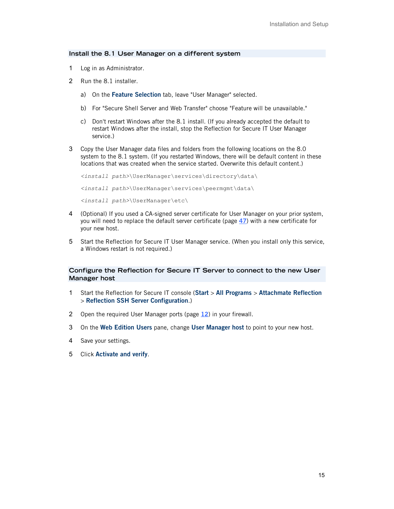#### **Install the 8.1 User Manager on a different system**

- 1 Log in as Administrator.
- 2 Run the 8.1 installer.
	- a) On the **Feature Selection** tab, leave "User Manager" selected.
	- b) For "Secure Shell Server and Web Transfer" choose "Feature will be unavailable."
	- c) Don't restart Windows after the 8.1 install. (If you already accepted the default to restart Windows after the install, stop the Reflection for Secure IT User Manager service.)
- 3 Copy the User Manager data files and folders from the following locations on the 8.0 system to the 8.1 system. (If you restarted Windows, there will be default content in these locations that was created when the service started. Overwrite this default content.)

```
<install path>\UserManager\services\directory\data\
<install path>\UserManager\services\peermgmt\data\
<install path>\UserManager\etc\
```
- 4 (Optional) If you used a CA-signed server certificate for User Manager on your prior system, you will need to replace the default server certificate (page **[47](#page-46-0)**) with a new certificate for your new host.
- 5 Start the Reflection for Secure IT User Manager service. (When you install only this service, a Windows restart is not required.)

#### **Configure the Reflection for Secure IT Server to connect to the new User Manager host**

- 1 Start the Reflection for Secure IT console (**Start** > **All Programs** > **Attachmate Reflection** > **Reflection SSH Server Configuration**.)
- 2 Open the required User Manager ports (page **[12](#page-11-0)**) in your firewall.
- 3 On the **Web Edition Users** pane, change **User Manager host** to point to your new host.
- 4 Save your settings.
- 5 Click **Activate and verify**.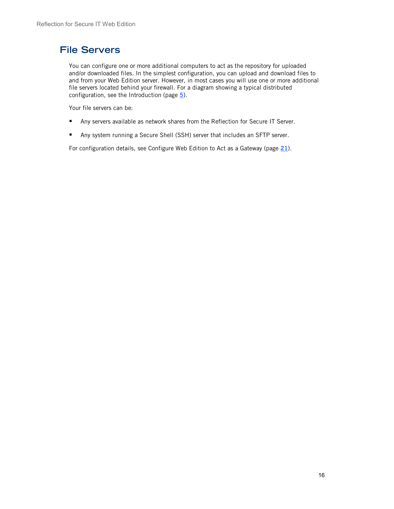## <span id="page-15-0"></span>**File Servers**

You can configure one or more additional computers to act as the repository for uploaded and/or downloaded files. In the simplest configuration, you can upload and download files to and from your Web Edition server. However, in most cases you will use one or more additional file servers located behind your firewall. For a diagram showing a typical distributed configuration, see the Introduction (page **[5](#page-4-0)**).

Your file servers can be:

- Any servers available as network shares from the Reflection for Secure IT Server.
- Any system running a Secure Shell (SSH) server that includes an SFTP server.

For configuration details, see Configure Web Edition to Act as a Gateway (page **[21](#page-20-0)**).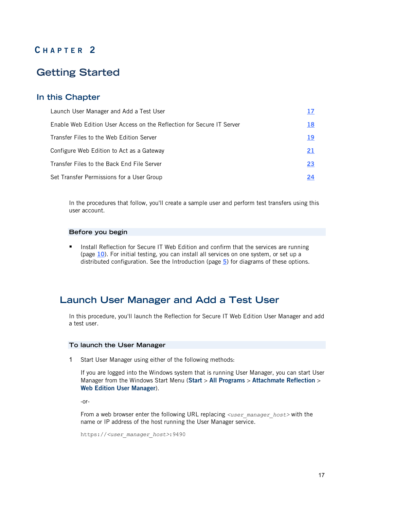### **C HAPTER 2**

## <span id="page-16-0"></span>**Getting Started**

### **In this Chapter**

| Launch User Manager and Add a Test User                               |    |
|-----------------------------------------------------------------------|----|
| Enable Web Edition User Access on the Reflection for Secure IT Server | 18 |
| Transfer Files to the Web Edition Server                              | 19 |
| Configure Web Edition to Act as a Gateway                             | 21 |
| Transfer Files to the Back End File Server                            | 23 |
| Set Transfer Permissions for a User Group                             | 24 |

In the procedures that follow, you'll create a sample user and perform test transfers using this user account.

#### **Before you begin**

**Install Reflection for Secure IT Web Edition and confirm that the services are running** (page **[10](#page-9-0)**). For initial testing, you can install all services on one system, or set up a distributed configuration. See the Introduction (page **[5](#page-4-0)**) for diagrams of these options.

### <span id="page-16-1"></span>**Launch User Manager and Add a Test User**

In this procedure, you'll launch the Reflection for Secure IT Web Edition User Manager and add a test user.

#### **To launch the User Manager**

1 Start User Manager using either of the following methods:

If you are logged into the Windows system that is running User Manager, you can start User Manager from the Windows Start Menu (**Start** > **All Programs** > **Attachmate Reflection** > **Web Edition User Manager**).

-or-

From a web browser enter the following URL replacing <user\_manager\_host> with the name or IP address of the host running the User Manager service.

```
https://<user_manager_host>:9490
```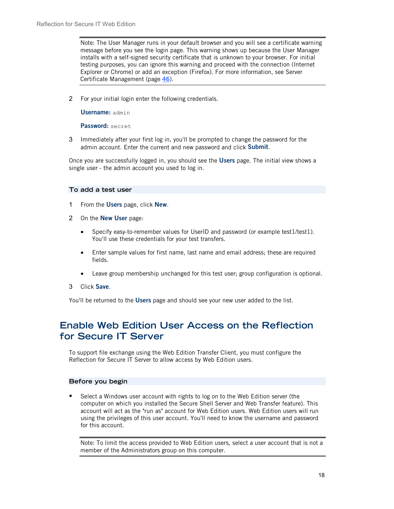Note: The User Manager runs in your default browser and you will see a certificate warning message before you see the login page. This warning shows up because the User Manager installs with a self-signed security certificate that is unknown to your browser. For initial testing purposes, you can ignore this warning and proceed with the connection (Internet Explorer or Chrome) or add an exception (Firefox). For more information, see Server Certificate Management (page **[46](#page-45-0)**).

2 For your initial login enter the following credentials.

**Username:** admin

**Password:** secret

3 Immediately after your first log in, you'll be prompted to change the password for the admin account. Enter the current and new password and click **Submit**.

Once you are successfully logged in, you should see the **Users** page. The initial view shows a single user - the admin account you used to log in.

#### **To add a test user**

- 1 From the **Users** page, click **New**.
- 2 On the **New User** page:
	- Specify easy-to-remember values for UserID and password (or example test1/test1). You'll use these credentials for your test transfers.
	- Enter sample values for first name, last name and email address; these are required fields.
	- Leave group membership unchanged for this test user; group configuration is optional.
- 3 Click **Save**.

You'll be returned to the **Users** page and should see your new user added to the list.

## <span id="page-17-0"></span>**Enable Web Edition User Access on the Reflection for Secure IT Server**

To support file exchange using the Web Edition Transfer Client, you must configure the Reflection for Secure IT Server to allow access by Web Edition users.

#### **Before you begin**

 Select a Windows user account with rights to log on to the Web Edition server (the computer on which you installed the Secure Shell Server and Web Transfer feature). This account will act as the "run as" account for Web Edition users. Web Edition users will run using the privileges of this user account. You'll need to know the username and password for this account.

Note: To limit the access provided to Web Edition users, select a user account that is not a member of the Administrators group on this computer.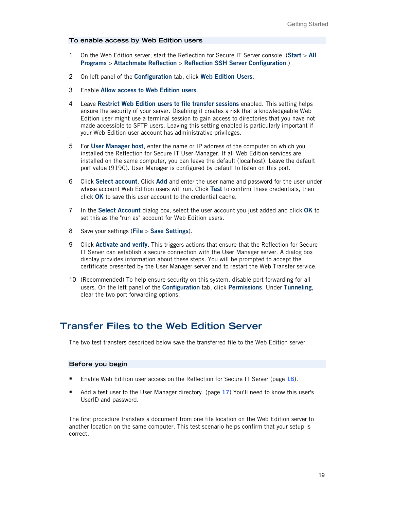#### **To enable access by Web Edition users**

- 1 On the Web Edition server, start the Reflection for Secure IT Server console. (**Start** > **All Programs** > **Attachmate Reflection** > **Reflection SSH Server Configuration**.)
- 2 On left panel of the **Configuration** tab, click **Web Edition Users**.
- 3 Enable **Allow access to Web Edition users**.
- 4 Leave **Restrict Web Edition users to file transfer sessions** enabled. This setting helps ensure the security of your server. Disabling it creates a risk that a knowledgeable Web Edition user might use a terminal session to gain access to directories that you have not made accessible to SFTP users. Leaving this setting enabled is particularly important if your Web Edition user account has administrative privileges.
- 5 For **User Manager host**, enter the name or IP address of the computer on which you installed the Reflection for Secure IT User Manager. If all Web Edition services are installed on the same computer, you can leave the default (localhost). Leave the default port value (9190). User Manager is configured by default to listen on this port.
- 6 Click **Select account**. Click **Add** and enter the user name and password for the user under whose account Web Edition users will run. Click **Test** to confirm these credentials, then click **OK** to save this user account to the credential cache.
- 7 In the **Select Account** dialog box, select the user account you just added and click **OK** to set this as the "run as" account for Web Edition users.
- 8 Save your settings (**File** > **Save Settings**).
- 9 Click **Activate and verify**. This triggers actions that ensure that the Reflection for Secure IT Server can establish a secure connection with the User Manager server. A dialog box display provides information about these steps. You will be prompted to accept the certificate presented by the User Manager server and to restart the Web Transfer service.
- 10 (Recommended) To help ensure security on this system, disable port forwarding for all users. On the left panel of the **Configuration** tab, click **Permissions**. Under **Tunneling**, clear the two port forwarding options.

### <span id="page-18-0"></span>**Transfer Files to the Web Edition Server**

The two test transfers described below save the transferred file to the Web Edition server.

#### **Before you begin**

- Enable Web Edition user access on the Reflection for Secure IT Server (page [18](#page-17-0)).
- Add a test user to the User Manager directory. (page **[17](#page-16-1)**) You'll need to know this user's UserID and password.

The first procedure transfers a document from one file location on the Web Edition server to another location on the same computer. This test scenario helps confirm that your setup is correct.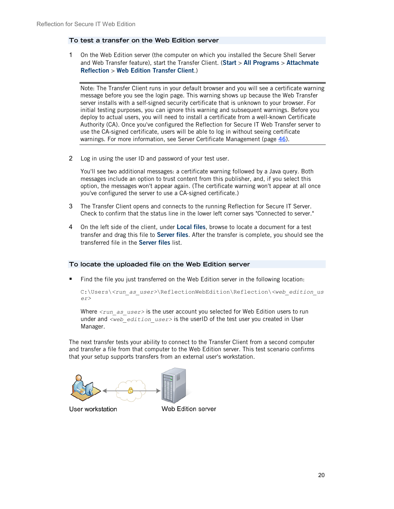#### **To test a transfer on the Web Edition server**

1 On the Web Edition server (the computer on which you installed the Secure Shell Server and Web Transfer feature), start the Transfer Client. (**Start** > **All Programs** > **Attachmate Reflection** > **Web Edition Transfer Client**.)

Note: The Transfer Client runs in your default browser and you will see a certificate warning message before you see the login page. This warning shows up because the Web Transfer server installs with a self-signed security certificate that is unknown to your browser. For initial testing purposes, you can ignore this warning and subsequent warnings. Before you deploy to actual users, you will need to install a certificate from a well-known Certificate Authority (CA). Once you've configured the Reflection for Secure IT Web Transfer server to use the CA-signed certificate, users will be able to log in without seeing certificate warnings. For more information, see Server Certificate Management (page **[46](#page-45-0)**).

2 Log in using the user ID and password of your test user.

You'll see two additional messages: a certificate warning followed by a Java query. Both messages include an option to trust content from this publisher, and, if you select this option, the messages won't appear again. (The certificate warning won't appear at all once you've configured the server to use a CA-signed certificate.)

- 3 The Transfer Client opens and connects to the running Reflection for Secure IT Server. Check to confirm that the status line in the lower left corner says "Connected to server."
- 4 On the left side of the client, under **Local files**, browse to locate a document for a test transfer and drag this file to **Server files**. After the transfer is complete, you should see the transferred file in the **Server files** list.

#### **To locate the uploaded file on the Web Edition server**

**Find the file you just transferred on the Web Edition server in the following location:** 

```
C:\Users\<run_as_user>\ReflectionWebEdition\Reflection\<web_edition_us
er>
```
Where  $\langle run\ as\ users\rangle$  is the user account you selected for Web Edition users to run under and *<web edition user>* is the userID of the test user you created in User Manager.

The next transfer tests your ability to connect to the Transfer Client from a second computer and transfer a file from that computer to the Web Edition server. This test scenario confirms that your setup supports transfers from an external user's workstation.

User workstation

Web Edition server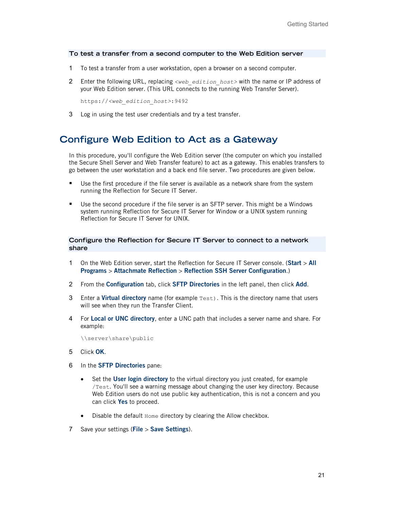#### **To test a transfer from a second computer to the Web Edition server**

- 1 To test a transfer from a user workstation, open a browser on a second computer.
- 2 Enter the following URL, replacing *<web\_edition\_host>* with the name or IP address of your Web Edition server. (This URL connects to the running Web Transfer Server).

https://*<web\_edition\_host>*:9492

3 Log in using the test user credentials and try a test transfer.

### <span id="page-20-0"></span>**Configure Web Edition to Act as a Gateway**

In this procedure, you'll configure the Web Edition server (the computer on which you installed the Secure Shell Server and Web Transfer feature) to act as a gateway. This enables transfers to go between the user workstation and a back end file server. Two procedures are given below.

- Use the first procedure if the file server is available as a network share from the system running the Reflection for Secure IT Server.
- Use the second procedure if the file server is an SFTP server. This might be a Windows system running Reflection for Secure IT Server for Window or a UNIX system running Reflection for Secure IT Server for UNIX.

#### **Configure the Reflection for Secure IT Server to connect to a network share**

- 1 On the Web Edition server, start the Reflection for Secure IT Server console. (**Start** > **All Programs** > **Attachmate Reflection** > **Reflection SSH Server Configuration**.)
- 2 From the **Configuration** tab, click **SFTP Directories** in the left panel, then click **Add**.
- 3 Enter a **Virtual directory** name (for example Test). This is the directory name that users will see when they run the Transfer Client.
- 4 For **Local or UNC directory**, enter a UNC path that includes a server name and share. For example:

\\server\share\public

- 5 Click **OK**.
- 6 In the **SFTP Directories** pane:
	- Set the **User login directory** to the virtual directory you just created, for example /Test. You'll see a warning message about changing the user key directory. Because Web Edition users do not use public key authentication, this is not a concern and you can click **Yes** to proceed.
	- Disable the default Home directory by clearing the Allow checkbox.
- 7 Save your settings (**File** > **Save Settings**).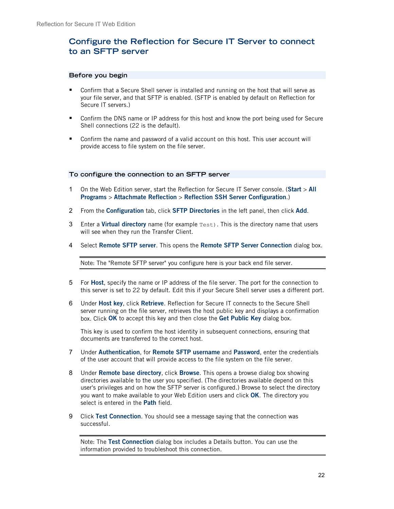### **Configure the Reflection for Secure IT Server to connect to an SFTP server**

#### **Before you begin**

- Confirm that a Secure Shell server is installed and running on the host that will serve as your file server, and that SFTP is enabled. (SFTP is enabled by default on Reflection for Secure IT servers.)
- **EXECONFIRM** The DNS name or IP address for this host and know the port being used for Secure Shell connections (22 is the default).
- Confirm the name and password of a valid account on this host. This user account will provide access to file system on the file server.

#### **To configure the connection to an SFTP server**

- 1 On the Web Edition server, start the Reflection for Secure IT Server console. (**Start** > **All Programs** > **Attachmate Reflection** > **Reflection SSH Server Configuration**.)
- 2 From the **Configuration** tab, click **SFTP Directories** in the left panel, then click **Add**.
- 3 Enter a **Virtual directory** name (for example Test). This is the directory name that users will see when they run the Transfer Client.
- 4 Select **Remote SFTP server**. This opens the **Remote SFTP Server Connection** dialog box.

Note: The "Remote SFTP server" you configure here is your back end file server.

- 5 For **Host**, specify the name or IP address of the file server. The port for the connection to this server is set to 22 by default. Edit this if your Secure Shell server uses a different port.
- 6 Under **Host key**, click **Retrieve**. Reflection for Secure IT connects to the Secure Shell server running on the file server, retrieves the host public key and displays a confirmation box. Click **OK** to accept this key and then close the **Get Public Key** dialog box.

This key is used to confirm the host identity in subsequent connections, ensuring that documents are transferred to the correct host.

- 7 Under **Authentication**, for **Remote SFTP username** and **Password**, enter the credentials of the user account that will provide access to the file system on the file server.
- 8 Under **Remote base directory**, click **Browse**. This opens a browse dialog box showing directories available to the user you specified. (The directories available depend on this user's privileges and on how the SFTP server is configured.) Browse to select the directory you want to make available to your Web Edition users and click **OK**. The directory you select is entered in the **Path** field.
- 9 Click **Test Connection**. You should see a message saying that the connection was successful.

Note: The **Test Connection** dialog box includes a Details button. You can use the information provided to troubleshoot this connection.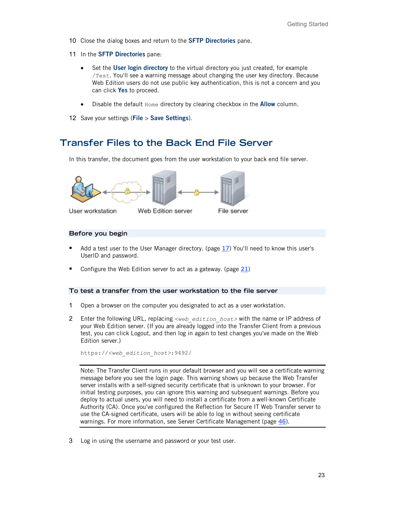- 10 Close the dialog boxes and return to the **SFTP Directories** pane.
- 11 In the **SFTP Directories** pane:
	- Set the **User login directory** to the virtual directory you just created, for example /Test. You'll see a warning message about changing the user key directory. Because Web Edition users do not use public key authentication, this is not a concern and you can click **Yes** to proceed.
	- Disable the default Home directory by clearing checkbox in the **Allow** column.
- 12 Save your settings (**File** > **Save Settings**).

### <span id="page-22-0"></span>**Transfer Files to the Back End File Server**

In this transfer, the document goes from the user workstation to your back end file server.



#### **Before you begin**

- Add a test user to the User Manager directory. (page [17](#page-16-1)) You'll need to know this user's UserID and password.
- Configure the Web Edition server to act as a gateway. (page [21](#page-20-0))

#### **To test a transfer from the user workstation to the file server**

- 1 Open a browser on the computer you designated to act as a user workstation.
- 2 Enter the following URL, replacing *<web\_edition\_host>* with the name or IP address of your Web Edition server. (If you are already logged into the Transfer Client from a previous test, you can click Logout, and then log in again to test changes you've made on the Web Edition server.)

https://*<web\_edition\_host>*:9492/

Note: The Transfer Client runs in your default browser and you will see a certificate warning message before you see the login page. This warning shows up because the Web Transfer server installs with a self-signed security certificate that is unknown to your browser. For initial testing purposes, you can ignore this warning and subsequent warnings. Before you deploy to actual users, you will need to install a certificate from a well-known Certificate Authority (CA). Once you've configured the Reflection for Secure IT Web Transfer server to use the CA-signed certificate, users will be able to log in without seeing certificate warnings. For more information, see Server Certificate Management (page **[46](#page-45-0)**).

3 Log in using the username and password or your test user.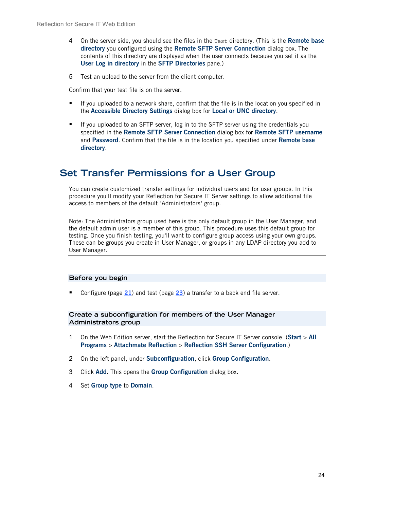- 4 On the server side, you should see the files in the Test directory. (This is the **Remote base directory** you configured using the **Remote SFTP Server Connection** dialog box. The contents of this directory are displayed when the user connects because you set it as the **User Log in directory** in the **SFTP Directories** pane.)
- 5 Test an upload to the server from the client computer.

Confirm that your test file is on the server.

- If you uploaded to a network share, confirm that the file is in the location you specified in the **Accessible Directory Settings** dialog box for **Local or UNC directory**.
- If you uploaded to an SFTP server, log in to the SFTP server using the credentials you specified in the **Remote SFTP Server Connection** dialog box for **Remote SFTP username** and **Password**. Confirm that the file is in the location you specified under **Remote base directory**.

### <span id="page-23-0"></span>**Set Transfer Permissions for a User Group**

You can create customized transfer settings for individual users and for user groups. In this procedure you'll modify your Reflection for Secure IT Server settings to allow additional file access to members of the default "Administrators" group.

Note: The Administrators group used here is the only default group in the User Manager, and the default admin user is a member of this group. This procedure uses this default group for testing. Once you finish testing, you'll want to configure group access using your own groups. These can be groups you create in User Manager, or groups in any LDAP directory you add to User Manager.

#### **Before you begin**

■ Configure (page [21](#page-20-0)) and test (page [23](#page-22-0)) a transfer to a back end file server.

#### **Create a subconfiguration for members of the User Manager Administrators group**

- 1 On the Web Edition server, start the Reflection for Secure IT Server console. (**Start** > **All Programs** > **Attachmate Reflection** > **Reflection SSH Server Configuration**.)
- 2 On the left panel, under **Subconfiguration**, click **Group Configuration**.
- 3 Click **Add**. This opens the **Group Configuration** dialog box.
- 4 Set **Group type** to **Domain**.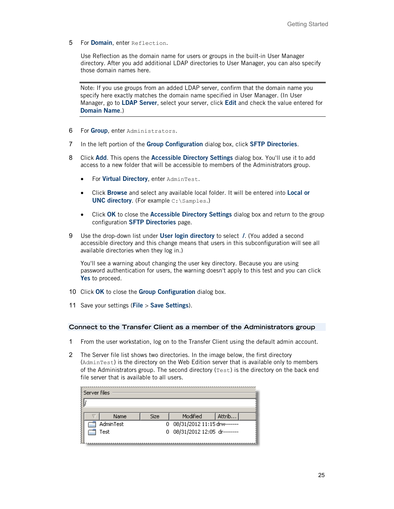5 For **Domain**, enter Reflection.

Use Reflection as the domain name for users or groups in the built-in User Manager directory. After you add additional LDAP directories to User Manager, you can also specify those domain names here.

Note: If you use groups from an added LDAP server, confirm that the domain name you specify here exactly matches the domain name specified in User Manager. (In User Manager, go to **LDAP Server**, select your server, click **Edit** and check the value entered for **Domain Name**.)

- 6 For **Group**, enter Administrators.
- 7 In the left portion of the **Group Configuration** dialog box, click **SFTP Directories**.
- 8 Click **Add**. This opens the **Accessible Directory Settings** dialog box. You'll use it to add access to a new folder that will be accessible to members of the Administrators group.
	- For **Virtual Directory**, enter AdminTest.
	- Click **Browse** and select any available local folder. It will be entered into **Local or UNC directory.** (For example C: \Samples.)
	- Click **OK** to close the **Accessible Directory Settings** dialog box and return to the group configuration **SFTP Directories** page.
- 9 Use the drop-down list under **User login directory** to select **/**. (You added a second accessible directory and this change means that users in this subconfiguration will see all available directories when they log in.)

You'll see a warning about changing the user key directory. Because you are using password authentication for users, the warning doesn't apply to this test and you can click **Yes** to proceed.

- 10 Click **OK** to close the **Group Configuration** dialog box.
- 11 Save your settings (**File** > **Save Settings**).

#### **Connect to the Transfer Client as a member of the Administrators group**

- 1 From the user workstation, log on to the Transfer Client using the default admin account.
- 2 The Server file list shows two directories. In the image below, the first directory (AdminTest) is the directory on the Web Edition server that is available only to members of the Administrators group. The second directory  $(Test)$  is the directory on the back end file server that is available to all users.

| Name      | <b>Size</b> | Modified                      | Attrib |
|-----------|-------------|-------------------------------|--------|
| AdminTest |             | 0 08/31/2012 11:15 drw------- |        |
| Test      |             | 0 08/31/2012 12:05 dr-------- |        |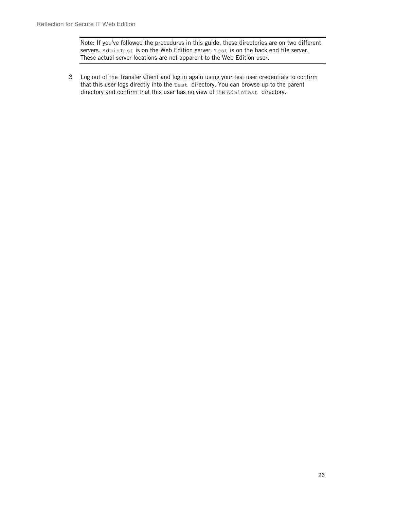Note: If you've followed the procedures in this guide, these directories are on two different servers. AdminTest is on the Web Edition server. Test is on the back end file server. These actual server locations are not apparent to the Web Edition user.

3 Log out of the Transfer Client and log in again using your test user credentials to confirm that this user logs directly into the Test directory. You can browse up to the parent directory and confirm that this user has no view of the AdminTest directory.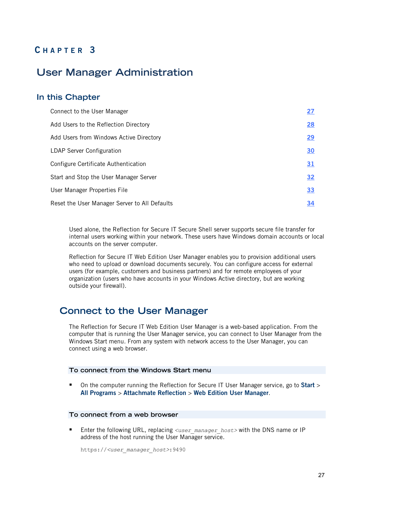### **C HAPTER 3**

## <span id="page-26-0"></span>**User Manager Administration**

### **In this Chapter**

| Connect to the User Manager                   | 27        |
|-----------------------------------------------|-----------|
| Add Users to the Reflection Directory         | 28        |
| Add Users from Windows Active Directory       | <u>29</u> |
| <b>LDAP Server Configuration</b>              | 30        |
| Configure Certificate Authentication          | 31        |
| Start and Stop the User Manager Server        | 32        |
| User Manager Properties File                  | 33        |
| Reset the User Manager Server to All Defaults | <u>34</u> |

Used alone, the Reflection for Secure IT Secure Shell server supports secure file transfer for internal users working within your network. These users have Windows domain accounts or local accounts on the server computer.

Reflection for Secure IT Web Edition User Manager enables you to provision additional users who need to upload or download documents securely. You can configure access for external users (for example, customers and business partners) and for remote employees of your organization (users who have accounts in your Windows Active directory, but are working outside your firewall).

### <span id="page-26-1"></span>**Connect to the User Manager**

The Reflection for Secure IT Web Edition User Manager is a web-based application. From the computer that is running the User Manager service, you can connect to User Manager from the Windows Start menu. From any system with network access to the User Manager, you can connect using a web browser.

#### **To connect from the Windows Start menu**

 On the computer running the Reflection for Secure IT User Manager service, go to **Start** > **All Programs** > **Attachmate Reflection** > **Web Edition User Manager**.

#### **To connect from a web browser**

■ Enter the following URL, replacing <user\_manager\_host> with the DNS name or IP address of the host running the User Manager service.

https://*<user\_manager\_host>*:9490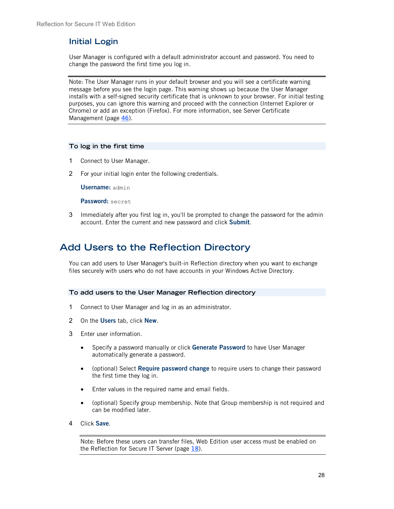### **Initial Login**

User Manager is configured with a default administrator account and password. You need to change the password the first time you log in.

Note: The User Manager runs in your default browser and you will see a certificate warning message before you see the login page. This warning shows up because the User Manager installs with a self-signed security certificate that is unknown to your browser. For initial testing purposes, you can ignore this warning and proceed with the connection (Internet Explorer or Chrome) or add an exception (Firefox). For more information, see Server Certificate Management (page **[46](#page-45-0)**).

#### **To log in the first time**

- 1 Connect to User Manager.
- 2 For your initial login enter the following credentials.

**Username:** admin

**Password:** secret

3 Immediately after you first log in, you'll be prompted to change the password for the admin account. Enter the current and new password and click **Submit**.

## <span id="page-27-0"></span>**Add Users to the Reflection Directory**

You can add users to User Manager's built-in Reflection directory when you want to exchange files securely with users who do not have accounts in your Windows Active Directory.

#### **To add users to the User Manager Reflection directory**

- 1 Connect to User Manager and log in as an administrator.
- 2 On the **Users** tab, click **New**.
- 3 Enter user information.
	- Specify a password manually or click **Generate Password** to have User Manager automatically generate a password.
	- (optional) Select **Require password change** to require users to change their password the first time they log in.
	- Enter values in the required name and email fields.
	- (optional) Specify group membership. Note that Group membership is not required and can be modified later.
- 4 Click **Save**.

Note: Before these users can transfer files, Web Edition user access must be enabled on the Reflection for Secure IT Server (page **[18](#page-17-0)**).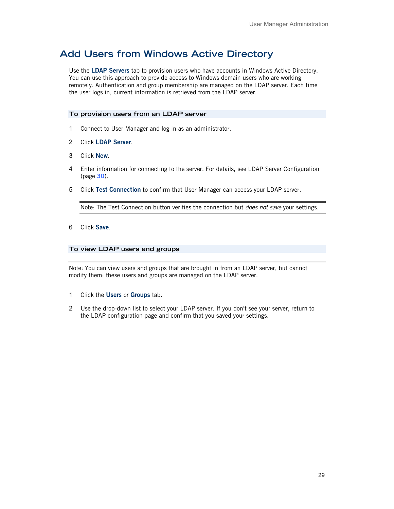## <span id="page-28-0"></span>**Add Users from Windows Active Directory**

Use the **LDAP Servers** tab to provision users who have accounts in Windows Active Directory. You can use this approach to provide access to Windows domain users who are working remotely. Authentication and group membership are managed on the LDAP server. Each time the user logs in, current information is retrieved from the LDAP server.

#### **To provision users from an LDAP server**

- 1 Connect to User Manager and log in as an administrator.
- 2 Click **LDAP Server**.
- 3 Click **New**.
- 4 Enter information for connecting to the server. For details, see LDAP Server Configuration (page **[30](#page-29-0)**).
- 5 Click **Test Connection** to confirm that User Manager can access your LDAP server.

Note: The Test Connection button verifies the connection but *does not save* your settings.

6 Click **Save**.

#### **To view LDAP users and groups**

Note: You can view users and groups that are brought in from an LDAP server, but cannot modify them; these users and groups are managed on the LDAP server.

- 1 Click the **Users** or **Groups** tab.
- 2 Use the drop-down list to select your LDAP server. If you don't see your server, return to the LDAP configuration page and confirm that you saved your settings.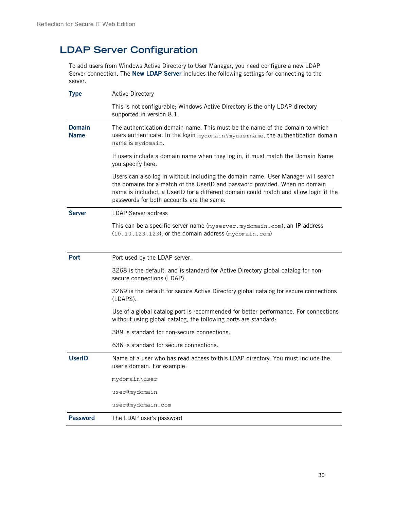## <span id="page-29-0"></span>**LDAP Server Configuration**

To add users from Windows Active Directory to User Manager, you need configure a new LDAP Server connection. The **New LDAP Server** includes the following settings for connecting to the server.

| <b>Type</b>                  | <b>Active Directory</b>                                                                                                                                                                                                                                                                               |
|------------------------------|-------------------------------------------------------------------------------------------------------------------------------------------------------------------------------------------------------------------------------------------------------------------------------------------------------|
|                              | This is not configurable; Windows Active Directory is the only LDAP directory<br>supported in version 8.1.                                                                                                                                                                                            |
| <b>Domain</b><br><b>Name</b> | The authentication domain name. This must be the name of the domain to which<br>users authenticate. In the login mydomain\myusername, the authentication domain<br>name is mydomain.                                                                                                                  |
|                              | If users include a domain name when they log in, it must match the Domain Name<br>you specify here.                                                                                                                                                                                                   |
|                              | Users can also log in without including the domain name. User Manager will search<br>the domains for a match of the UserID and password provided. When no domain<br>name is included, a UserID for a different domain could match and allow login if the<br>passwords for both accounts are the same. |
| <b>Server</b>                | <b>LDAP Server address</b>                                                                                                                                                                                                                                                                            |
|                              | This can be a specific server name (myserver.mydomain.com), an IP address<br>(10.10.123.123), or the domain address (mydomain.com)                                                                                                                                                                    |
| <b>Port</b>                  | Port used by the LDAP server.                                                                                                                                                                                                                                                                         |
|                              | 3268 is the default, and is standard for Active Directory global catalog for non-<br>secure connections (LDAP).                                                                                                                                                                                       |
|                              | 3269 is the default for secure Active Directory global catalog for secure connections<br>(LDAPS).                                                                                                                                                                                                     |
|                              | Use of a global catalog port is recommended for better performance. For connections<br>without using global catalog, the following ports are standard:                                                                                                                                                |
|                              | 389 is standard for non-secure connections.                                                                                                                                                                                                                                                           |
|                              | 636 is standard for secure connections.                                                                                                                                                                                                                                                               |
| <b>UserID</b>                | Name of a user who has read access to this LDAP directory. You must include the<br>user's domain. For example:                                                                                                                                                                                        |
|                              | mydomain\user                                                                                                                                                                                                                                                                                         |
|                              | user@mydomain                                                                                                                                                                                                                                                                                         |
|                              | user@mydomain.com                                                                                                                                                                                                                                                                                     |
| <b>Password</b>              | The LDAP user's password                                                                                                                                                                                                                                                                              |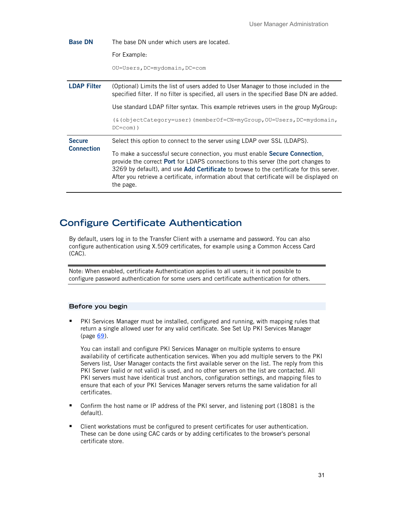| <b>Base DN</b>     | The base DN under which users are located.                                                                                                                                                                                                                                                                                                                                           |  |
|--------------------|--------------------------------------------------------------------------------------------------------------------------------------------------------------------------------------------------------------------------------------------------------------------------------------------------------------------------------------------------------------------------------------|--|
|                    | For Example:                                                                                                                                                                                                                                                                                                                                                                         |  |
|                    | OU=Users, DC=mydomain, DC=com                                                                                                                                                                                                                                                                                                                                                        |  |
| <b>LDAP Filter</b> | (Optional) Limits the list of users added to User Manager to those included in the<br>specified filter. If no filter is specified, all users in the specified Base DN are added.                                                                                                                                                                                                     |  |
|                    | Use standard LDAP filter syntax. This example retrieves users in the group MyGroup:                                                                                                                                                                                                                                                                                                  |  |
|                    | $(\&$ (objectCategory=user) (memberOf=CN=myGroup, OU=Users, DC=mydomain,<br>$DC = com)$ )                                                                                                                                                                                                                                                                                            |  |
| <b>Secure</b>      | Select this option to connect to the server using LDAP over SSL (LDAPS).                                                                                                                                                                                                                                                                                                             |  |
| <b>Connection</b>  | To make a successful secure connection, you must enable <b>Secure Connection</b> ,<br>provide the correct <b>Port</b> for LDAPS connections to this server (the port changes to<br>3269 by default), and use Add Certificate to browse to the certificate for this server.<br>After you retrieve a certificate, information about that certificate will be displayed on<br>the page. |  |

## <span id="page-30-0"></span>**Configure Certificate Authentication**

By default, users log in to the Transfer Client with a username and password. You can also configure authentication using X.509 certificates, for example using a Common Access Card (CAC).

Note: When enabled, certificate Authentication applies to all users; it is not possible to configure password authentication for some users and certificate authentication for others.

#### **Before you begin**

PKI Services Manager must be installed, configured and running, with mapping rules that return a single allowed user for any valid certificate. See Set Up PKI Services Manager (page **[69](#page-68-0)**).

You can install and configure PKI Services Manager on multiple systems to ensure availability of certificate authentication services. When you add multiple servers to the PKI Servers list, User Manager contacts the first available server on the list. The reply from this PKI Server (valid or not valid) is used, and no other servers on the list are contacted. All PKI servers must have identical trust anchors, configuration settings, and mapping files to ensure that each of your PKI Services Manager servers returns the same validation for all certificates.

- Confirm the host name or IP address of the PKI server, and listening port (18081 is the default).
- **EXECUTE:** Client workstations must be configured to present certificates for user authentication. These can be done using CAC cards or by adding certificates to the browser's personal certificate store.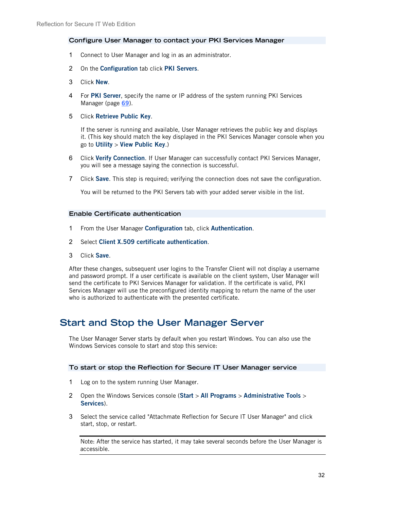#### **Configure User Manager to contact your PKI Services Manager**

- 1 Connect to User Manager and log in as an administrator.
- 2 On the **Configuration** tab click **PKI Servers**.
- 3 Click **New**.
- 4 For **PKI Server**, specify the name or IP address of the system running PKI Services Manager (page **[69](#page-68-0)**).
- 5 Click **Retrieve Public Key**.

If the server is running and available, User Manager retrieves the public key and displays it. (This key should match the key displayed in the PKI Services Manager console when you go to **Utility** > **View Public Key**.)

- 6 Click **Verify Connection**. If User Manager can successfully contact PKI Services Manager, you will see a message saying the connection is successful.
- 7 Click **Save**. This step is required; verifying the connection does not save the configuration.

You will be returned to the PKI Servers tab with your added server visible in the list.

#### **Enable Certificate authentication**

- 1 From the User Manager **Configuration** tab, click **Authentication**.
- 2 Select **Client X.509 certificate authentication**.
- 3 Click **Save**.

After these changes, subsequent user logins to the Transfer Client will not display a username and password prompt. If a user certificate is available on the client system, User Manager will send the certificate to PKI Services Manager for validation. If the certificate is valid, PKI Services Manager will use the preconfigured identity mapping to return the name of the user who is authorized to authenticate with the presented certificate.

### <span id="page-31-0"></span>**Start and Stop the User Manager Server**

The User Manager Server starts by default when you restart Windows. You can also use the Windows Services console to start and stop this service:

#### **To start or stop the Reflection for Secure IT User Manager service**

- 1 Log on to the system running User Manager.
- 2 Open the Windows Services console (**Start** > **All Programs** > **Administrative Tools** > **Services**).
- 3 Select the service called "Attachmate Reflection for Secure IT User Manager" and click start, stop, or restart.

Note: After the service has started, it may take several seconds before the User Manager is accessible.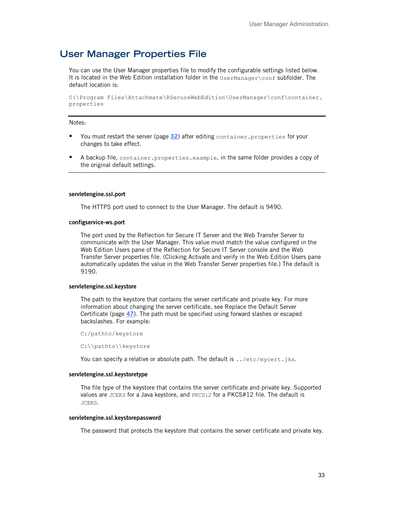## <span id="page-32-0"></span>**User Manager Properties File**

You can use the User Manager properties file to modify the configurable settings listed below. It is located in the Web Edition installation folder in the UserManager\conf subfolder. The default location is:

C:\Program Files\Attachmate\RSecureWebEdition\UserManager\conf\container. properties

#### Notes:

- You must restart the server (page [32](#page-31-0)) after editing container.properties for your changes to take effect.
- A backup file, container.properties.example, in the same folder provides a copy of the original default settings.

#### **servletengine.ssl.port**

The HTTPS port used to connect to the User Manager. The default is 9490.

#### **configservice-ws.port**

The port used by the Reflection for Secure IT Server and the Web Transfer Server to communicate with the User Manager. This value must match the value configured in the Web Edition Users pane of the Reflection for Secure IT Server console and the Web Transfer Server properties file. (Clicking Activate and verify in the Web Edition Users pane automatically updates the value in the Web Transfer Server properties file.) The default is 9190.

#### **servletengine.ssl.keystore**

The path to the keystore that contains the server certificate and private key. For more information about changing the server certificate, see Replace the Default Server Certificate (page **[47](#page-46-0)**). The path must be specified using forward slashes or escaped backslashes. For example:

C:/pathto/keystore

C:\\pathto\\keystore

You can specify a relative or absolute path. The default is . . /etc/mycert.jks.

#### **servletengine.ssl.keystoretype**

The file type of the keystore that contains the server certificate and private key. Supported values are JCEKS for a Java keystore, and PKCS12 for a PKCS#12 file. The default is JCEKS.

#### **servletengine.ssl.keystorepassword**

The password that protects the keystore that contains the server certificate and private key.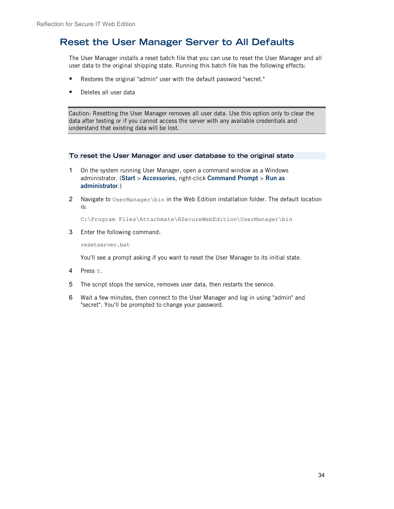## <span id="page-33-0"></span>**Reset the User Manager Server to All Defaults**

The User Manager installs a reset batch file that you can use to reset the User Manager and all user data to the original shipping state. Running this batch file has the following effects:

- Restores the original "admin" user with the default password "secret."
- Deletes all user data

Caution: Resetting the User Manager removes all user data. Use this option only to clear the data after testing or if you cannot access the server with any available credentials and understand that existing data will be lost.

#### **To reset the User Manager and user database to the original state**

- 1 On the system running User Manager, open a command window as a Windows administrator. (**Start** > **Accessories**, right-click **Command Prompt** > **Run as administrator**.)
- 2 Navigate to UserManager\bin in the Web Edition installation folder. The default location is:

C:\Program Files\Attachmate\RSecureWebEdition\UserManager\bin

3 Enter the following command:

resetserver.bat

You'll see a prompt asking if you want to reset the User Manager to its initial state.

- 4 Press Y.
- 5 The script stops the service, removes user data, then restarts the service.
- 6 Wait a few minutes, then connect to the User Manager and log in using "admin" and "secret". You'll be prompted to change your password.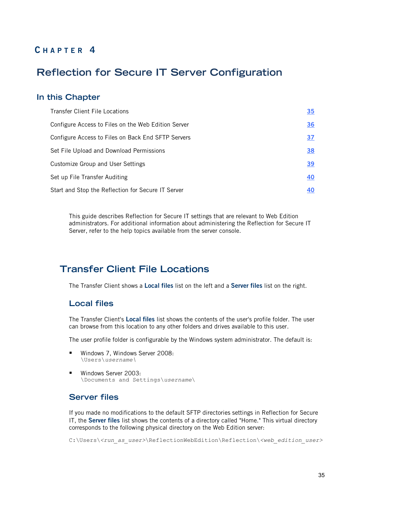### **C HAPTER 4**

## <span id="page-34-0"></span>**Reflection for Secure IT Server Configuration**

#### **In this Chapter**

| <b>Transfer Client File Locations</b>               | <u>35</u> |
|-----------------------------------------------------|-----------|
| Configure Access to Files on the Web Edition Server | <u>36</u> |
| Configure Access to Files on Back End SFTP Servers  | <u>37</u> |
| Set File Upload and Download Permissions            | 38        |
| Customize Group and User Settings                   | <u>39</u> |
| Set up File Transfer Auditing                       | <u>40</u> |
| Start and Stop the Reflection for Secure IT Server  | 40        |

This guide describes Reflection for Secure IT settings that are relevant to Web Edition administrators. For additional information about administering the Reflection for Secure IT Server, refer to the help topics available from the server console.

### <span id="page-34-1"></span>**Transfer Client File Locations**

The Transfer Client shows a **Local files** list on the left and a **Server files** list on the right.

### **Local files**

The Transfer Client's **Local files** list shows the contents of the user's profile folder. The user can browse from this location to any other folders and drives available to this user.

The user profile folder is configurable by the Windows system administrator. The default is:

- Windows 7, Windows Server 2008: \Users\*username\*
- **Windows Server 2003:** \Documents and Settings\*username*\

### **Server files**

If you made no modifications to the default SFTP directories settings in Reflection for Secure IT, the **Server files** list shows the contents of a directory called "Home." This virtual directory corresponds to the following physical directory on the Web Edition server:

C:\Users\*<run\_as\_user>*\ReflectionWebEdition\Reflection\*<web\_edition\_user>*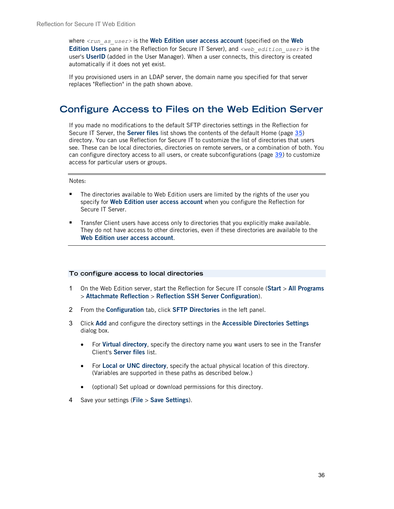where  $\langle \text{run} \rangle$  as user is the **Web Edition user access account** (specified on the **Web Edition Users** pane in the Reflection for Secure IT Server), and *<web\_edition\_user>* is the user's **UserID** (added in the User Manager). When a user connects, this directory is created automatically if it does not yet exist.

If you provisioned users in an LDAP server, the domain name you specified for that server replaces "Reflection" in the path shown above.

## <span id="page-35-0"></span>**Configure Access to Files on the Web Edition Server**

If you made no modifications to the default SFTP directories settings in the Reflection for Secure IT Server, the **Server files** list shows the contents of the default Home (page **[35](#page-34-1)**) directory. You can use Reflection for Secure IT to customize the list of directories that users see. These can be local directories, directories on remote servers, or a combination of both. You can configure directory access to all users, or create subconfigurations (page **[39](#page-38-0)**) to customize access for particular users or groups.

#### Notes:

- **The directories available to Web Edition users are limited by the rights of the user you** specify for **Web Edition user access account** when you configure the Reflection for Secure IT Server.
- Transfer Client users have access only to directories that you explicitly make available. They do not have access to other directories, even if these directories are available to the **Web Edition user access account**.

#### **To configure access to local directories**

- 1 On the Web Edition server, start the Reflection for Secure IT console (**Start** > **All Programs** > **Attachmate Reflection** > **Reflection SSH Server Configuration**).
- 2 From the **Configuration** tab, click **SFTP Directories** in the left panel.
- 3 Click **Add** and configure the directory settings in the **Accessible Directories Settings** dialog box.
	- For **Virtual directory**, specify the directory name you want users to see in the Transfer Client's **Server files** list.
	- For **Local or UNC directory**, specify the actual physical location of this directory. (Variables are supported in these paths as described below.)
	- (optional) Set upload or download permissions for this directory.
- 4 Save your settings (**File** > **Save Settings**).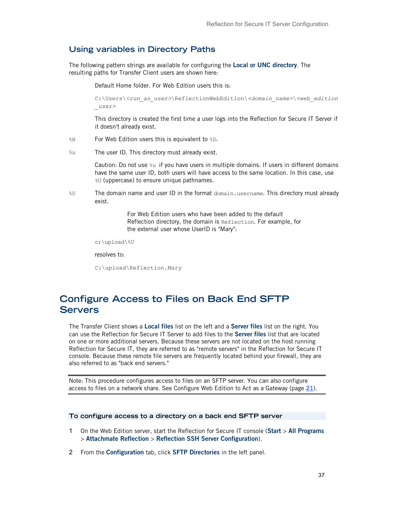### <span id="page-36-0"></span>**Using variables in Directory Paths**

The following pattern strings are available for configuring the **Local or UNC directory**. The resulting paths for Transfer Client users are shown here:

Default Home folder. For Web Edition users this is:

C:\Users\*<run\_as\_user>*\ReflectionWebEdition\*<domain\_name>*\*<web\_edition \_user>*

This directory is created the first time a user logs into the Reflection for Secure IT Server if it doesn't already exist.

- %H For Web Edition users this is equivalent to %D.
- %u The user ID. This directory must already exist.

Caution: Do not use %u if you have users in multiple domains. If users in different domains have the same user ID, both users will have access to the same location. In this case, use %U (uppercase) to ensure unique pathnames.

%U The domain name and user ID in the format domain.username. This directory must already exist.

> For Web Edition users who have been added to the default Reflection directory, the domain is Reflection. For example, for the external user whose UserID is "Mary":

c:\upload\%U

resolves to:

```
C:\upload\Reflection.Mary
```
# **Configure Access to Files on Back End SFTP Servers**

The Transfer Client shows a **Local files** list on the left and a **Server files** list on the right. You can use the Reflection for Secure IT Server to add files to the **Server files** list that are located on one or more additional servers. Because these servers are not located on the host running Reflection for Secure IT, they are referred to as "remote servers" in the Reflection for Secure IT console. Because these remote file servers are frequently located behind your firewall, they are also referred to as "back end servers."

Note: This procedure configures access to files on an SFTP server. You can also configure access to files on a network share. See Configure Web Edition to Act as a Gateway (page **[21](#page-20-0)**).

#### **To configure access to a directory on a back end SFTP server**

- 1 On the Web Edition server, start the Reflection for Secure IT console (**Start** > **All Programs** > **Attachmate Reflection** > **Reflection SSH Server Configuration**).
- 2 From the **Configuration** tab, click **SFTP Directories** in the left panel.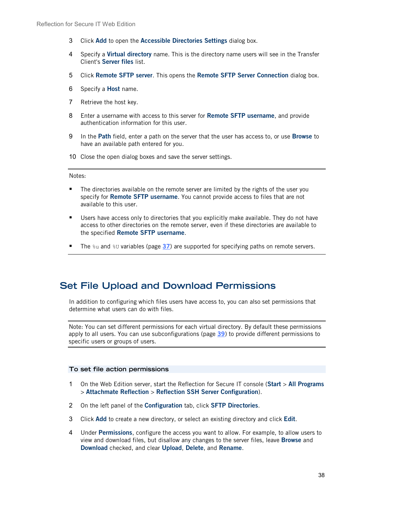- 3 Click **Add** to open the **Accessible Directories Settings** dialog box.
- 4 Specify a **Virtual directory** name. This is the directory name users will see in the Transfer Client's **Server files** list.
- 5 Click **Remote SFTP server**. This opens the **Remote SFTP Server Connection** dialog box.
- 6 Specify a **Host** name.
- 7 Retrieve the host key.
- 8 Enter a username with access to this server for **Remote SFTP username**, and provide authentication information for this user.
- 9 In the **Path** field, enter a path on the server that the user has access to, or use **Browse** to have an available path entered for you.
- 10 Close the open dialog boxes and save the server settings.

Notes:

- **The directories available on the remote server are limited by the rights of the user you** specify for **Remote SFTP username**. You cannot provide access to files that are not available to this user.
- Users have access only to directories that you explicitly make available. They do not have access to other directories on the remote server, even if these directories are available to the specified **Remote SFTP username**.
- The  $\frac{1}{3}$ u and  $\frac{1}{3}$ U variables (page [37](#page-36-0)) are supported for specifying paths on remote servers.

## **Set File Upload and Download Permissions**

In addition to configuring which files users have access to, you can also set permissions that determine what users can do with files.

Note: You can set different permissions for each virtual directory. By default these permissions apply to all users. You can use subconfigurations (page **[39](#page-38-0)**) to provide different permissions to specific users or groups of users.

### **To set file action permissions**

- 1 On the Web Edition server, start the Reflection for Secure IT console (**Start** > **All Programs** > **Attachmate Reflection** > **Reflection SSH Server Configuration**).
- 2 On the left panel of the **Configuration** tab, click **SFTP Directories**.
- 3 Click **Add** to create a new directory, or select an existing directory and click **Edit**.
- 4 Under **Permissions**, configure the access you want to allow. For example, to allow users to view and download files, but disallow any changes to the server files, leave **Browse** and **Download** checked, and clear **Upload**, **Delete**, and **Rename**.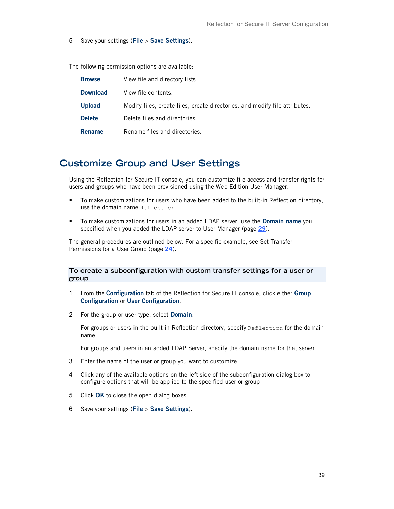5 Save your settings (**File** > **Save Settings**).

The following permission options are available:

| <b>Browse</b>   | View file and directory lists.                                              |
|-----------------|-----------------------------------------------------------------------------|
| <b>Download</b> | View file contents.                                                         |
| <b>Upload</b>   | Modify files, create files, create directories, and modify file attributes. |
| <b>Delete</b>   | Delete files and directories.                                               |
| <b>Rename</b>   | Rename files and directories.                                               |

## <span id="page-38-0"></span>**Customize Group and User Settings**

Using the Reflection for Secure IT console, you can customize file access and transfer rights for users and groups who have been provisioned using the Web Edition User Manager.

- To make customizations for users who have been added to the built-in Reflection directory, use the domain name Reflection.
- To make customizations for users in an added LDAP server, use the **Domain name** you specified when you added the LDAP server to User Manager (page **[29](#page-28-0)**).

The general procedures are outlined below. For a specific example, see Set Transfer Permissions for a User Group (page **[24](#page-23-0)**).

### **To create a subconfiguration with custom transfer settings for a user or group**

- 1 From the **Configuration** tab of the Reflection for Secure IT console, click either **Group Configuration** or **User Configuration**.
- 2 For the group or user type, select **Domain**.

For groups or users in the built-in Reflection directory, specify Reflection for the domain name.

For groups and users in an added LDAP Server, specify the domain name for that server.

- 3 Enter the name of the user or group you want to customize.
- 4 Click any of the available options on the left side of the subconfiguration dialog box to configure options that will be applied to the specified user or group.
- 5 Click **OK** to close the open dialog boxes.
- 6 Save your settings (**File** > **Save Settings**).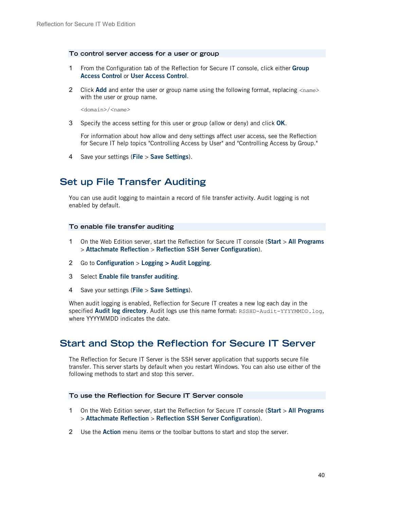#### **To control server access for a user or group**

- 1 From the Configuration tab of the Reflection for Secure IT console, click either **Group Access Control** or **User Access Control**.
- 2 Click **Add** and enter the user or group name using the following format, replacing *<name>* with the user or group name.

<domain>/*<name>*

3 Specify the access setting for this user or group (allow or deny) and click **OK**.

For information about how allow and deny settings affect user access, see the Reflection for Secure IT help topics "Controlling Access by User" and "Controlling Access by Group."

4 Save your settings (**File** > **Save Settings**).

# **Set up File Transfer Auditing**

You can use audit logging to maintain a record of file transfer activity. Audit logging is not enabled by default.

#### **To enable file transfer auditing**

- 1 On the Web Edition server, start the Reflection for Secure IT console (**Start** > **All Programs** > **Attachmate Reflection** > **Reflection SSH Server Configuration**).
- 2 Go to **Configuration** > **Logging > Audit Logging**.
- 3 Select **Enable file transfer auditing**.
- 4 Save your settings (**File** > **Save Settings**).

When audit logging is enabled, Reflection for Secure IT creates a new log each day in the specified **Audit log directory**. Audit logs use this name format: RSSHD-Audit-YYYYMMDD.log, where YYYYMMDD indicates the date.

## **Start and Stop the Reflection for Secure IT Server**

The Reflection for Secure IT Server is the SSH server application that supports secure file transfer. This server starts by default when you restart Windows. You can also use either of the following methods to start and stop this server.

#### **To use the Reflection for Secure IT Server console**

- 1 On the Web Edition server, start the Reflection for Secure IT console (**Start** > **All Programs** > **Attachmate Reflection** > **Reflection SSH Server Configuration**).
- 2 Use the **Action** menu items or the toolbar buttons to start and stop the server.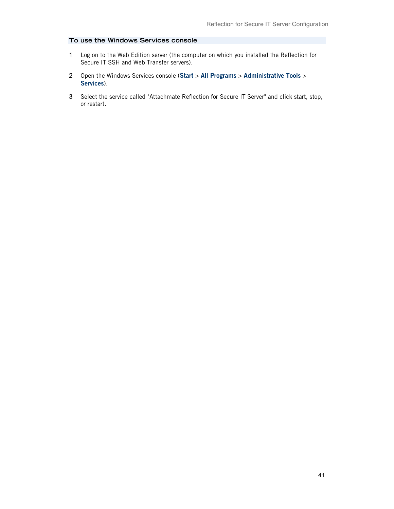### **To use the Windows Services console**

- 1 Log on to the Web Edition server (the computer on which you installed the Reflection for Secure IT SSH and Web Transfer servers).
- 2 Open the Windows Services console (**Start** > **All Programs** > **Administrative Tools** > **Services**).
- 3 Select the service called "Attachmate Reflection for Secure IT Server" and click start, stop, or restart.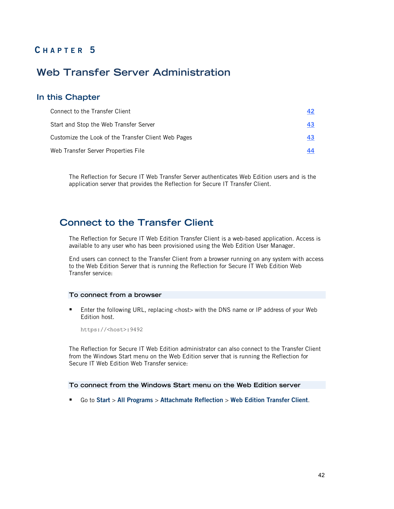# **C HAPTER 5**

# **Web Transfer Server Administration**

### **In this Chapter**

| Connect to the Transfer Client                      | 42 |
|-----------------------------------------------------|----|
| Start and Stop the Web Transfer Server              | 43 |
| Customize the Look of the Transfer Client Web Pages | 43 |
| Web Transfer Server Properties File                 | 44 |

The Reflection for Secure IT Web Transfer Server authenticates Web Edition users and is the application server that provides the Reflection for Secure IT Transfer Client.

# <span id="page-41-0"></span>**Connect to the Transfer Client**

The Reflection for Secure IT Web Edition Transfer Client is a web-based application. Access is available to any user who has been provisioned using the Web Edition User Manager.

End users can connect to the Transfer Client from a browser running on any system with access to the Web Edition Server that is running the Reflection for Secure IT Web Edition Web Transfer service:

### **To connect from a browser**

**Enter the following URL, replacing <host> with the DNS name or IP address of your Web** Edition host.

https://<host>:9492

The Reflection for Secure IT Web Edition administrator can also connect to the Transfer Client from the Windows Start menu on the Web Edition server that is running the Reflection for Secure IT Web Edition Web Transfer service:

### **To connect from the Windows Start menu on the Web Edition server**

Go to **Start** > **All Programs** > **Attachmate Reflection** > **Web Edition Transfer Client**.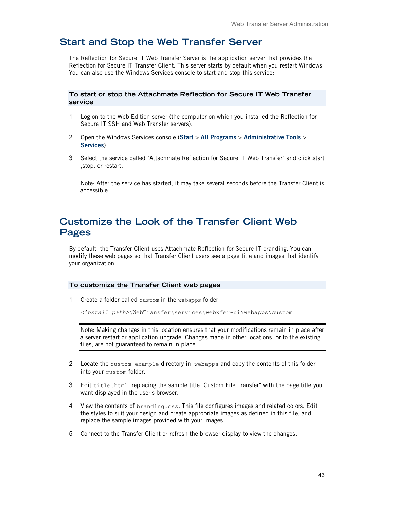# <span id="page-42-0"></span>**Start and Stop the Web Transfer Server**

The Reflection for Secure IT Web Transfer Server is the application server that provides the Reflection for Secure IT Transfer Client. This server starts by default when you restart Windows. You can also use the Windows Services console to start and stop this service:

**To start or stop the Attachmate Reflection for Secure IT Web Transfer service**

- 1 Log on to the Web Edition server (the computer on which you installed the Reflection for Secure IT SSH and Web Transfer servers).
- 2 Open the Windows Services console (**Start** > **All Programs** > **Administrative Tools** > **Services**).
- 3 Select the service called "Attachmate Reflection for Secure IT Web Transfer" and click start ,stop, or restart.

Note: After the service has started, it may take several seconds before the Transfer Client is accessible.

# <span id="page-42-1"></span>**Customize the Look of the Transfer Client Web Pages**

By default, the Transfer Client uses Attachmate Reflection for Secure IT branding. You can modify these web pages so that Transfer Client users see a page title and images that identify your organization.

#### **To customize the Transfer Client web pages**

1 Create a folder called custom in the webapps folder:

*<install path>*\WebTransfer\services\webxfer-ui\webapps\custom

Note: Making changes in this location ensures that your modifications remain in place after a server restart or application upgrade. Changes made in other locations, or to the existing files, are not guaranteed to remain in place.

- 2 Locate the custom-example directory in webapps and copy the contents of this folder into your custom folder.
- 3 Edit title.html, replacing the sample title "Custom File Transfer" with the page title you want displayed in the user's browser.
- 4 View the contents of branding.css. This file configures images and related colors. Edit the styles to suit your design and create appropriate images as defined in this file, and replace the sample images provided with your images.
- 5 Connect to the Transfer Client or refresh the browser display to view the changes.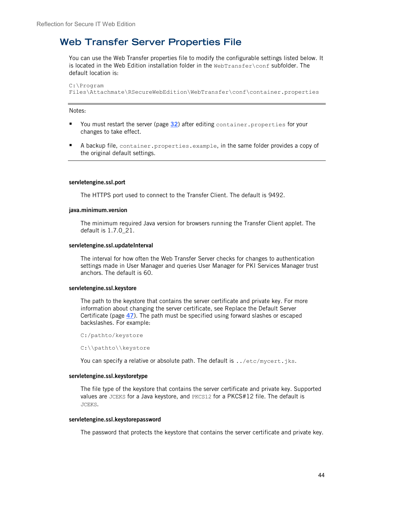# <span id="page-43-0"></span>**Web Transfer Server Properties File**

You can use the Web Transfer properties file to modify the configurable settings listed below. It is located in the Web Edition installation folder in the  $WebTransfer \text{Conf}$  subfolder. The default location is:

```
C:\Program 
Files\Attachmate\RSecureWebEdition\WebTransfer\conf\container.properties
```
Notes:

- You must restart the server (page [32](#page-31-0)) after editing container.properties for your changes to take effect.
- A backup file, container.properties.example, in the same folder provides a copy of the original default settings.

#### **servletengine.ssl.port**

The HTTPS port used to connect to the Transfer Client. The default is 9492.

#### **java.minimum.version**

The minimum required Java version for browsers running the Transfer Client applet. The default is 1.7.0\_21.

#### **servletengine.ssl.updateInterval**

The interval for how often the Web Transfer Server checks for changes to authentication settings made in User Manager and queries User Manager for PKI Services Manager trust anchors. The default is 60.

#### **servletengine.ssl.keystore**

The path to the keystore that contains the server certificate and private key. For more information about changing the server certificate, see Replace the Default Server Certificate (page **[47](#page-46-0)**). The path must be specified using forward slashes or escaped backslashes. For example:

C:/pathto/keystore

C:\\pathto\\keystore

You can specify a relative or absolute path. The default is ../etc/mycert.jks.

### **servletengine.ssl.keystoretype**

The file type of the keystore that contains the server certificate and private key. Supported values are JCEKS for a Java keystore, and PKCS12 for a PKCS#12 file. The default is JCEKS.

#### **servletengine.ssl.keystorepassword**

The password that protects the keystore that contains the server certificate and private key.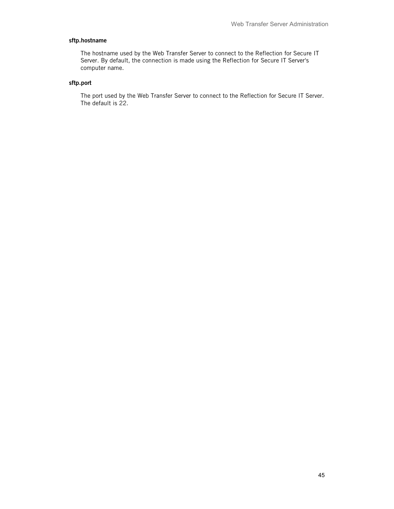### **sftp.hostname**

The hostname used by the Web Transfer Server to connect to the Reflection for Secure IT Server. By default, the connection is made using the Reflection for Secure IT Server's computer name.

### **sftp.port**

The port used by the Web Transfer Server to connect to the Reflection for Secure IT Server. The default is 22.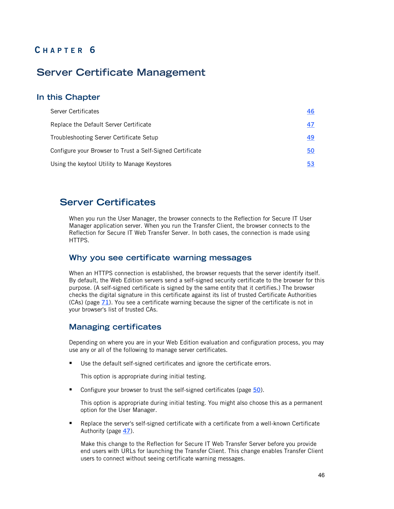# **C HAPTER 6**

# **Server Certificate Management**

### **In this Chapter**

| Server Certificates                                       | 46 |
|-----------------------------------------------------------|----|
| Replace the Default Server Certificate                    | 47 |
| Troubleshooting Server Certificate Setup                  | 49 |
| Configure your Browser to Trust a Self-Signed Certificate | 50 |
| Using the keytool Utility to Manage Keystores             | 53 |

## <span id="page-45-0"></span>**Server Certificates**

When you run the User Manager, the browser connects to the Reflection for Secure IT User Manager application server. When you run the Transfer Client, the browser connects to the Reflection for Secure IT Web Transfer Server. In both cases, the connection is made using HTTPS.

### **Why you see certificate warning messages**

When an HTTPS connection is established, the browser requests that the server identify itself. By default, the Web Edition servers send a self-signed security certificate to the browser for this purpose. (A self-signed certificate is signed by the same entity that it certifies.) The browser checks the digital signature in this certificate against its list of trusted Certificate Authorities (CAs) (page **[71](#page-70-0)**). You see a certificate warning because the signer of the certificate is not in your browser's list of trusted CAs.

### **Managing certificates**

Depending on where you are in your Web Edition evaluation and configuration process, you may use any or all of the following to manage server certificates.

Use the default self-signed certificates and ignore the certificate errors.

This option is appropriate during initial testing.

■ Configure your browser to trust the self-signed certificates (page [50](#page-49-0)).

This option is appropriate during initial testing. You might also choose this as a permanent option for the User Manager.

**Part Alleh Server's self-signed certificate with a certificate from a well-known Certificate** Authority (page **[47](#page-46-0)**).

Make this change to the Reflection for Secure IT Web Transfer Server before you provide end users with URLs for launching the Transfer Client. This change enables Transfer Client users to connect without seeing certificate warning messages.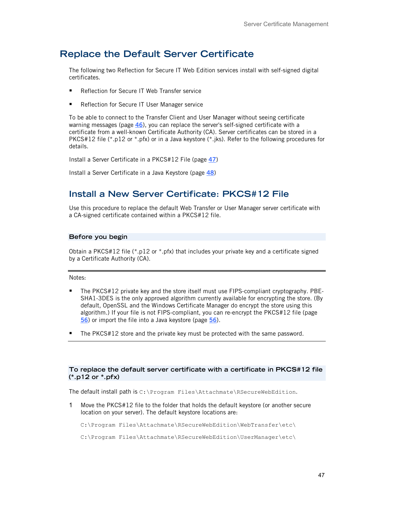# <span id="page-46-0"></span>**Replace the Default Server Certificate**

The following two Reflection for Secure IT Web Edition services install with self-signed digital certificates.

- Reflection for Secure IT Web Transfer service
- Reflection for Secure IT User Manager service

To be able to connect to the Transfer Client and User Manager without seeing certificate warning messages (page **[46](#page-45-0)**), you can replace the server's self-signed certificate with a certificate from a well-known Certificate Authority (CA). Server certificates can be stored in a PKCS#12 file (\*.p12 or \*.pfx) or in a Java keystore (\*.jks). Refer to the following procedures for details.

Install a Server Certificate in a PKCS#12 File (page **[47](#page-46-1)**)

Install a Server Certificate in a Java Keystore (page **[48](#page-47-0)**)

## <span id="page-46-1"></span>**Install a New Server Certificate: PKCS#12 File**

Use this procedure to replace the default Web Transfer or User Manager server certificate with a CA-signed certificate contained within a PKCS#12 file.

### **Before you begin**

Obtain a PKCS#12 file  $(*.p12 \text{ or }*.pfx)$  that includes your private key and a certificate signed by a Certificate Authority (CA).

Notes:

- The PKCS#12 private key and the store itself must use FIPS-compliant cryptography. PBE-SHA1-3DES is the only approved algorithm currently available for encrypting the store. (By default, OpenSSL and the Windows Certificate Manager do encrypt the store using this algorithm.) If your file is not FIPS-compliant, you can re-encrypt the PKCS#12 file (page **[56](#page-55-0)**) or import the file into a Java keystore (page **[56](#page-55-1)**).
- The PKCS#12 store and the private key must be protected with the same password.

### **To replace the default server certificate with a certificate in PKCS#12 file (\*.p12 or \*.pfx)**

The default install path is C:\Program Files\Attachmate\RSecureWebEdition.

1 Move the PKCS#12 file to the folder that holds the default keystore (or another secure location on your server). The default keystore locations are:

C:\Program Files\Attachmate\RSecureWebEdition\WebTransfer\etc\

C:\Program Files\Attachmate\RSecureWebEdition\UserManager\etc\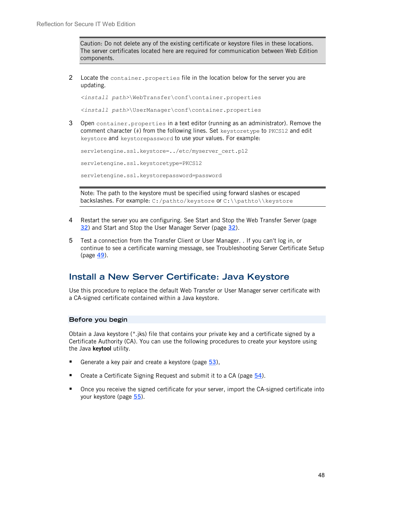Caution: Do not delete any of the existing certificate or keystore files in these locations. The server certificates located here are required for communication between Web Edition components.

2 Locate the container. properties file in the location below for the server you are updating.

*<install path>*\WebTransfer\conf\container.properties

*<install path>*\UserManager\conf\container.properties

3 Open container.properties in a text editor (running as an administrator). Remove the comment character (#) from the following lines. Set keystoretype to PKCS12 and edit keystore and keystorepassword to use your values. For example:

```
servletengine.ssl.keystore=../etc/myserver cert.p12
servletengine.ssl.keystoretype=PKCS12
servletengine.ssl.keystorepassword=password
```
Note: The path to the keystore must be specified using forward slashes or escaped backslashes. For example: C:/pathto/keystore or C:\\pathto\\keystore

- 4 Restart the server you are configuring. See Start and Stop the Web Transfer Server (page **[32](#page-31-0)**) and Start and Stop the User Manager Server (page **[32](#page-31-0)**).
- 5 Test a connection from the Transfer Client or User Manager. . If you can't log in, or continue to see a certificate warning message, see Troubleshooting Server Certificate Setup (page **[49](#page-48-0)**).

## <span id="page-47-0"></span>**Install a New Server Certificate: Java Keystore**

Use this procedure to replace the default Web Transfer or User Manager server certificate with a CA-signed certificate contained within a Java keystore.

### **Before you begin**

Obtain a Java keystore (\*.jks) file that contains your private key and a certificate signed by a Certificate Authority (CA). You can use the following procedures to create your keystore using the Java **keytool** utility.

- Generate a key pair and create a keystore (page [53](#page-52-1)),
- Create a Certificate Signing Request and submit it to a CA (page **[54](#page-53-0)**).
- Once you receive the signed certificate for your server, import the CA-signed certificate into your keystore (page **[55](#page-54-0)**).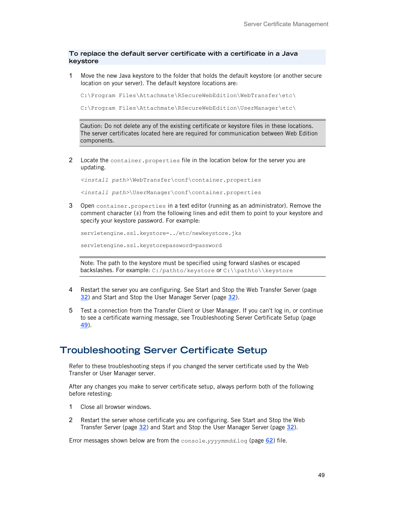### **To replace the default server certificate with a certificate in a Java keystore**

1 Move the new Java keystore to the folder that holds the default keystore (or another secure location on your server). The default keystore locations are:

```
C:\Program Files\Attachmate\RSecureWebEdition\WebTransfer\etc\
```

```
C:\Program Files\Attachmate\RSecureWebEdition\UserManager\etc\
```
Caution: Do not delete any of the existing certificate or keystore files in these locations. The server certificates located here are required for communication between Web Edition components.

2 Locate the container. properties file in the location below for the server you are updating.

*<install path>*\WebTransfer\conf\container.properties

*<install path>*\UserManager\conf\container.properties

3 Open container.properties in a text editor (running as an administrator). Remove the comment character (#) from the following lines and edit them to point to your keystore and specify your keystore password. For example:

```
servletengine.ssl.keystore=../etc/newkeystore.jks
```
servletengine.ssl.keystorepassword=password

Note: The path to the keystore must be specified using forward slashes or escaped backslashes. For example: C:/pathto/keystore or C:\\pathto\\keystore

- 4 Restart the server you are configuring. See Start and Stop the Web Transfer Server (page **[32](#page-31-0)**) and Start and Stop the User Manager Server (page **[32](#page-31-0)**).
- 5 Test a connection from the Transfer Client or User Manager. If you can't log in, or continue to see a certificate warning message, see Troubleshooting Server Certificate Setup (page **[49](#page-48-0)**).

## <span id="page-48-0"></span>**Troubleshooting Server Certificate Setup**

Refer to these troubleshooting steps if you changed the server certificate used by the Web Transfer or User Manager server.

After any changes you make to server certificate setup, always perform both of the following before retesting:

- 1 Close all browser windows.
- 2 Restart the server whose certificate you are configuring. See Start and Stop the Web Transfer Server (page **[32](#page-31-0)**) and Start and Stop the User Manager Server (page **[32](#page-31-0)**).

Error messages shown below are from the console.*yyyymmdd*.log (page **[62](#page-61-0)**) file.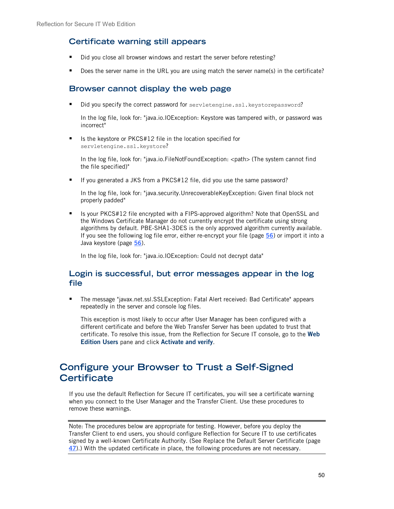## **Certificate warning still appears**

- Did you close all browser windows and restart the server before retesting?
- Does the server name in the URL you are using match the server name(s) in the certificate?

## **Browser cannot display the web page**

Did you specify the correct password for servletengine.ssl.keystorepassword?

In the log file, look for: "java.io.IOException: Keystore was tampered with, or password was incorrect"

■ Is the keystore or PKCS#12 file in the location specified for servletengine.ssl.keystore?

In the log file, look for: "java.io.FileNotFoundException: <path> (The system cannot find the file specified)"

■ If you generated a JKS from a PKCS#12 file, did you use the same password?

In the log file, look for: "java.security.UnrecoverableKeyException: Given final block not properly padded"

■ Is your PKCS#12 file encrypted with a FIPS-approved algorithm? Note that OpenSSL and the Windows Certificate Manager do not currently encrypt the certificate using strong algorithms by default. PBE-SHA1-3DES is the only approved algorithm currently available. If you see the following log file error, either re-encrypt your file (page **[56](#page-55-0)**) or import it into a Java keystore (page **[56](#page-55-1)**).

In the log file, look for: "java.io.IOException: Could not decrypt data"

## **Login is successful, but error messages appear in the log file**

 The message "javax.net.ssl.SSLException: Fatal Alert received: Bad Certificate" appears repeatedly in the server and console log files.

This exception is most likely to occur after User Manager has been configured with a different certificate and before the Web Transfer Server has been updated to trust that certificate. To resolve this issue, from the Reflection for Secure IT console, go to the **Web Edition Users** pane and click **Activate and verify**.

# <span id="page-49-0"></span>**Configure your Browser to Trust a Self-Signed Certificate**

If you use the default Reflection for Secure IT certificates, you will see a certificate warning when you connect to the User Manager and the Transfer Client. Use these procedures to remove these warnings.

Note: The procedures below are appropriate for testing. However, before you deploy the Transfer Client to end users, you should configure Reflection for Secure IT to use certificates signed by a well-known Certificate Authority. (See Replace the Default Server Certificate (page **[47](#page-46-0)**).) With the updated certificate in place, the following procedures are not necessary.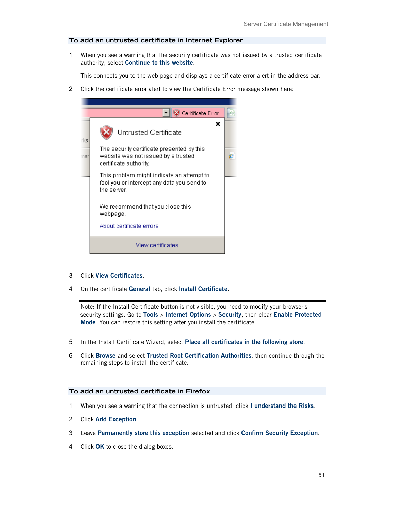#### **To add an untrusted certificate in Internet Explorer**

1 When you see a warning that the security certificate was not issued by a trusted certificate authority, select **Continue to this website**.

This connects you to the web page and displays a certificate error alert in the address bar.

2 Click the certificate error alert to view the Certificate Error message shown here:



- 3 Click **View Certificates**.
- 4 On the certificate **General** tab, click **Install Certificate**.

Note: If the Install Certificate button is not visible, you need to modify your browser's security settings. Go to **Tools** > **Internet Options** > **Security**, then clear **Enable Protected Mode**. You can restore this setting after you install the certificate.

- 5 In the Install Certificate Wizard, select **Place all certificates in the following store**.
- 6 Click **Browse** and select **Trusted Root Certification Authorities**, then continue through the remaining steps to install the certificate.

### **To add an untrusted certificate in Firefox**

- 1 When you see a warning that the connection is untrusted, click **I understand the Risks**.
- 2 Click **Add Exception**.
- 3 Leave **Permanently store this exception** selected and click **Confirm Security Exception**.
- 4 Click **OK** to close the dialog boxes.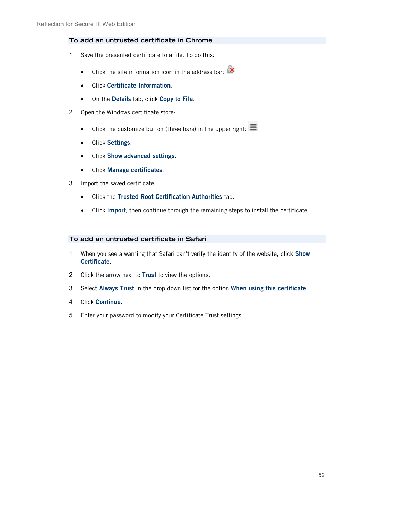### **To add an untrusted certificate in Chrome**

- 1 Save the presented certificate to a file. To do this:
	- Click the site information icon in the address bar:  $\mathbb{R}$
	- Click **Certificate Information**.
	- On the **Details** tab, click **Copy to File**.
- 2 Open the Windows certificate store:
	- Click the customize button (three bars) in the upper right:  $\equiv$
	- Click **Settings**.
	- Click **Show advanced settings**.
	- Click **Manage certificates**.
- 3 Import the saved certificate:
	- Click the **Trusted Root Certification Authorities** tab.
	- Click I**mport**, then continue through the remaining steps to install the certificate.

### **To add an untrusted certificate in Safari**

- 1 When you see a warning that Safari can't verify the identity of the website, click **Show Certificate**.
- 2 Click the arrow next to **Trust** to view the options.
- 3 Select **Always Trust** in the drop down list for the option **When using this certificate**.
- 4 Click **Continue**.
- 5 Enter your password to modify your Certificate Trust settings.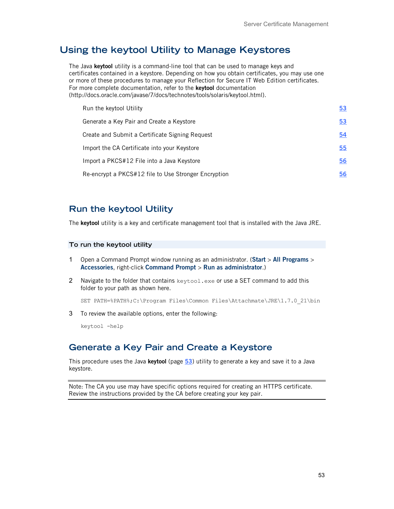# <span id="page-52-0"></span>**Using the keytool Utility to Manage Keystores**

The Java **keytool** utility is a command-line tool that can be used to manage keys and certificates contained in a keystore. Depending on how you obtain certificates, you may use one or more of these procedures to manage your Reflection for Secure IT Web Edition certificates. For more complete documentation, refer to the **keytool** documentation [\(http://docs.oracle.com/javase/7/docs/technotes/tools/solaris/keytool.html\)](http://docs.oracle.com/javase/7/docs/technotes/tools/solaris/keytool.html).

| Run the keytool Utility                              | 53 |
|------------------------------------------------------|----|
| Generate a Key Pair and Create a Keystore            | 53 |
| Create and Submit a Certificate Signing Request      | 54 |
| Import the CA Certificate into your Keystore         | 55 |
| Import a PKCS#12 File into a Java Keystore           | 56 |
| Re-encrypt a PKCS#12 file to Use Stronger Encryption | 56 |

### <span id="page-52-2"></span>**Run the keytool Utility**

The **keytool** utility is a key and certificate management tool that is installed with the Java JRE.

### **To run the keytool utility**

- 1 Open a Command Prompt window running as an administrator. (**Start** > **All Programs** > **Accessories**, right-click **Command Prompt** > **Run as administrator**.)
- 2 Navigate to the folder that contains keytool.exe or use a SET command to add this folder to your path as shown here.

SET PATH=%PATH%;C:\Program Files\Common Files\Attachmate\JRE\1.7.0\_21\bin

3 To review the available options, enter the following:

keytool -help

### <span id="page-52-1"></span>**Generate a Key Pair and Create a Keystore**

This procedure uses the Java **keytool** (page **[53](#page-52-2)**) utility to generate a key and save it to a Java keystore.

Note: The CA you use may have specific options required for creating an HTTPS certificate. Review the instructions provided by the CA before creating your key pair.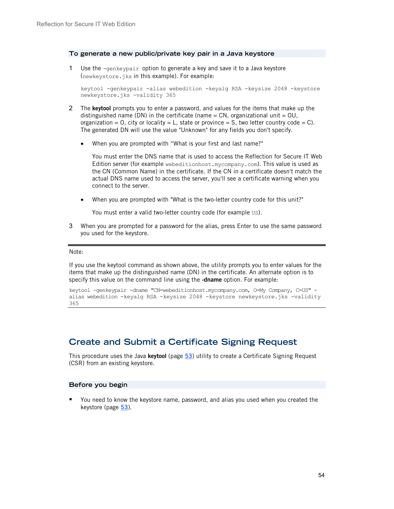### **To generate a new public/private key pair in a Java keystore**

1 Use the  $-q$ enkeypair option to generate a key and save it to a Java keystore (newkeystore.jks in this example). For example:

```
keytool -genkeypair -alias webedition -keyalg RSA -keysize 2048 -keystore 
newkeystore.jks -validity 365
```
- 2 The **keytool** prompts you to enter a password, and values for the items that make up the distinguished name (DN) in the certificate (name  $= CN$ , organizational unit  $= OU$ . organization = 0, city or locality = L, state or province = S, two letter country code = C). The generated DN will use the value "Unknown" for any fields you don't specify.
	- When you are prompted with "What is your first and last name?"

You must enter the DNS name that is used to access the Reflection for Secure IT Web Edition server (for example webeditionhost.mycompany.com). This value is used as the CN (Common Name) in the certificate. If the CN in a certificate doesn't match the actual DNS name used to access the server, you'll see a certificate warning when you connect to the server.

• When you are prompted with "What is the two-letter country code for this unit?"

You must enter a valid two-letter country code (for example US).

3 When you are prompted for a password for the alias, press Enter to use the same password you used for the keystore.

#### Note:

If you use the keytool command as shown above, the utility prompts you to enter values for the items that make up the distinguished name (DN) in the certificate. An alternate option is to specify this value on the command line using the **-dname** option. For example:

keytool -genkeypair -dname "CN=webeditionhost.mycompany.com, O=My Company, C=US" alias webedition -keyalg RSA -keysize 2048 -keystore newkeystore.jks -validity 365

## <span id="page-53-0"></span>**Create and Submit a Certificate Signing Request**

This procedure uses the Java **keytool** (page **[53](#page-52-2)**) utility to create a Certificate Signing Request (CSR) from an existing keystore.

### **Before you begin**

 You need to know the keystore name, password, and alias you used when you created the keystore (page **[53](#page-52-1)**).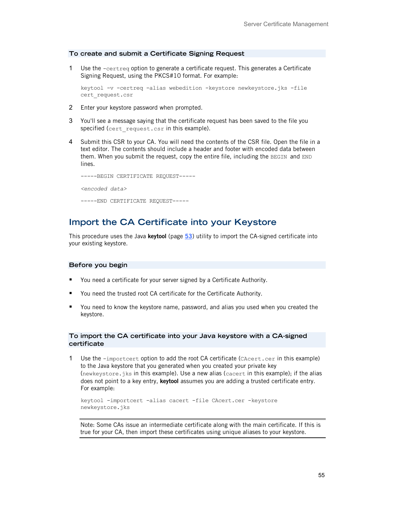#### **To create and submit a Certificate Signing Request**

1 Use the  $-certreg$  option to generate a certificate request. This generates a Certificate Signing Request, using the PKCS#10 format. For example:

```
keytool -v -certreq -alias webedition -keystore newkeystore.jks -file 
cert_request.csr
```
- 2 Enter your keystore password when prompted.
- 3 You'll see a message saying that the certificate request has been saved to the file you specified (cert request.csr in this example).
- 4 Submit this CSR to your CA. You will need the contents of the CSR file. Open the file in a text editor. The contents should include a header and footer with encoded data between them. When you submit the request, copy the entire file, including the BEGIN and END lines.

```
-----BEGIN CERTIFICATE REQUEST-----
<encoded data>
-----END CERTIFICATE REQUEST-----
```
## <span id="page-54-0"></span>**Import the CA Certificate into your Keystore**

This procedure uses the Java **keytool** (page **[53](#page-52-2)**) utility to import the CA-signed certificate into your existing keystore.

#### **Before you begin**

- You need a certificate for your server signed by a Certificate Authority.
- You need the trusted root CA certificate for the Certificate Authority.
- You need to know the keystore name, password, and alias you used when you created the keystore.

### **To import the CA certificate into your Java keystore with a CA-signed certificate**

1 Use the -importcert option to add the root CA certificate (CAcert.cer in this example) to the Java keystore that you generated when you created your private key (newkeystore.jks in this example). Use a new alias (cacert in this example); if the alias does not point to a key entry, **keytool** assumes you are adding a trusted certificate entry. For example:

```
keytool -importcert -alias cacert -file CAcert.cer -keystore 
newkeystore.jks
```
Note: Some CAs issue an intermediate certificate along with the main certificate. If this is true for your CA, then import these certificates using unique aliases to your keystore.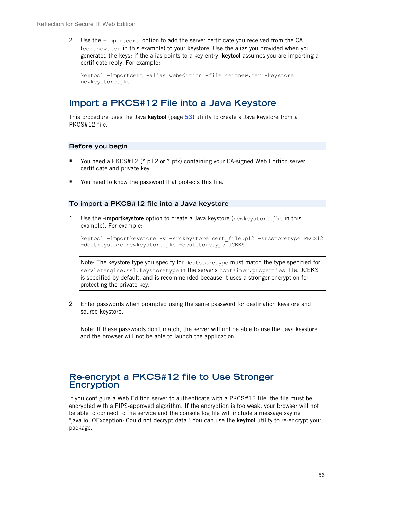2 Use the -importcert option to add the server certificate you received from the CA (certnew.cer in this example) to your keystore. Use the alias you provided when you generated the keys; if the alias points to a key entry, **keytool** assumes you are importing a certificate reply. For example:

```
keytool -importcert -alias webedition -file certnew.cer -keystore 
newkeystore.jks
```
## <span id="page-55-1"></span>**Import a PKCS#12 File into a Java Keystore**

This procedure uses the Java **keytool** (page **[53](#page-52-2)**) utility to create a Java keystore from a PKCS#12 file.

#### **Before you begin**

- You need a PKCS#12 (\*.p12 or \*.pfx) containing your CA-signed Web Edition server certificate and private key.
- You need to know the password that protects this file.

#### **To import a PKCS#12 file into a Java keystore**

1 Use the **-importkeystore** option to create a Java keystore (newkeystore.jks in this example). For example:

keytool -importkeystore -v -srckeystore cert\_file.p12 -srcstoretype PKCS12 -destkeystore newkeystore.jks -deststoretype JCEKS

Note: The keystore type you specify for deststoretype must match the type specified for servletengine.ssl.keystoretype in the server's container.properties file. JCEKS is specified by default, and is recommended because it uses a stronger encryption for protecting the private key.

2 Enter passwords when prompted using the same password for destination keystore and source keystore.

Note: If these passwords don't match, the server will not be able to use the Java keystore and the browser will not be able to launch the application.

## <span id="page-55-0"></span>**Re-encrypt a PKCS#12 file to Use Stronger Encryption**

If you configure a Web Edition server to authenticate with a PKCS#12 file, the file must be encrypted with a FIPS-approved algorithm. If the encryption is too weak, your browser will not be able to connect to the service and the console log file will include a message saying "java.io.IOException: Could not decrypt data." You can use the **keytool** utility to re-encrypt your package.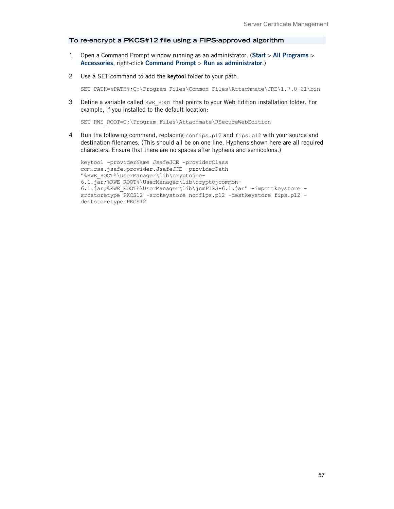### **To re-encrypt a PKCS#12 file using a FIPS-approved algorithm**

- 1 Open a Command Prompt window running as an administrator. (**Start** > **All Programs** > **Accessories**, right-click **Command Prompt** > **Run as administrator**.)
- 2 Use a SET command to add the **keytool** folder to your path.

```
SET PATH=%PATH%;C:\Program Files\Common Files\Attachmate\JRE\1.7.0 21\bin
```
3 Define a variable called RWE\_ROOT that points to your Web Edition installation folder. For example, if you installed to the default location:

SET RWE ROOT=C:\Program Files\Attachmate\RSecureWebEdition

4 Run the following command, replacing nonfips.p12 and fips.p12 with your source and destination filenames. (This should all be on one line. Hyphens shown here are all required characters. Ensure that there are no spaces after hyphens and semicolons.)

```
keytool -providerName JsafeJCE -providerClass 
com.rsa.jsafe.provider.JsafeJCE -providerPath 
"%RWE_ROOT%\UserManager\lib\cryptojce-
6.1.jar;%RWE_ROOT%\UserManager\lib\cryptojcommon-
6.1.jar;%RWE_ROOT%\UserManager\lib\jcmFIPS-6.1.jar" -importkeystore -
srcstoretype PKCS12 -srckeystore nonfips.p12 -destkeystore fips.p12 -
deststoretype PKCS12
```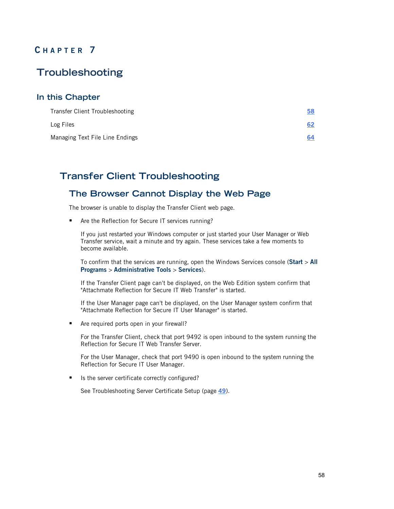# **C HAPTER 7**

# **Troubleshooting**

### **In this Chapter**

| Transfer Client Troubleshooting | <u>58</u> |
|---------------------------------|-----------|
| Log Files                       | 62        |
| Managing Text File Line Endings | 64        |

# <span id="page-57-0"></span>**Transfer Client Troubleshooting**

## **The Browser Cannot Display the Web Page**

The browser is unable to display the Transfer Client web page.

■ Are the Reflection for Secure IT services running?

If you just restarted your Windows computer or just started your User Manager or Web Transfer service, wait a minute and try again. These services take a few moments to become available.

To confirm that the services are running, open the Windows Services console (**Start** > **All Programs** > **Administrative Tools** > **Services**).

If the Transfer Client page can't be displayed, on the Web Edition system confirm that "Attachmate Reflection for Secure IT Web Transfer" is started.

If the User Manager page can't be displayed, on the User Manager system confirm that "Attachmate Reflection for Secure IT User Manager" is started.

■ Are required ports open in your firewall?

For the Transfer Client, check that port 9492 is open inbound to the system running the Reflection for Secure IT Web Transfer Server.

For the User Manager, check that port 9490 is open inbound to the system running the Reflection for Secure IT User Manager.

■ Is the server certificate correctly configured?

See Troubleshooting Server Certificate Setup (page **[49](#page-48-0)**).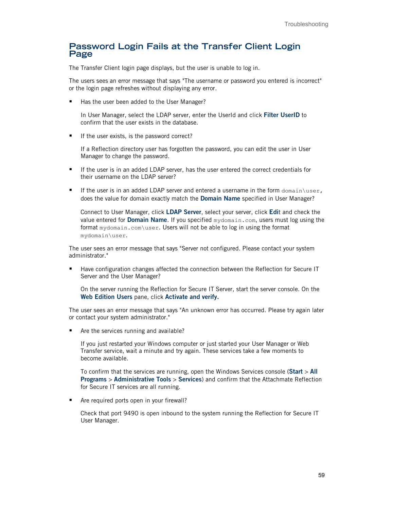### **Password Login Fails at the Transfer Client Login Page**

The Transfer Client login page displays, but the user is unable to log in.

The users sees an error message that says "The username or password you entered is incorrect" or the login page refreshes without displaying any error.

Has the user been added to the User Manager?

In User Manager, select the LDAP server, enter the UserId and click **Filter UserID** to confirm that the user exists in the database.

If the user exists, is the password correct?

If a Reflection directory user has forgotten the password, you can edit the user in User Manager to change the password.

- If the user is in an added LDAP server, has the user entered the correct credentials for their username on the LDAP server?
- If the user is in an added LDAP server and entered a username in the form  $domain\user$ , does the value for domain exactly match the **Domain Name** specified in User Manager?

Connect to User Manager, click **LDAP Server**, select your server, click **Edi**t and check the value entered for **Domain Name**. If you specified mydomain.com, users must log using the format mydomain.com\user. Users will not be able to log in using the format mydomain\user.

The user sees an error message that says "Server not configured. Please contact your system administrator."

**Have configuration changes affected the connection between the Reflection for Secure IT** Server and the User Manager?

On the server running the Reflection for Secure IT Server, start the server console. On the **Web Edition Users** pane, click **Activate and verify.**

The user sees an error message that says "An unknown error has occurred. Please try again later or contact your system administrator."

■ Are the services running and available?

If you just restarted your Windows computer or just started your User Manager or Web Transfer service, wait a minute and try again. These services take a few moments to become available.

To confirm that the services are running, open the Windows Services console (**Start** > **All Programs** > **Administrative Tools** > **Services**) and confirm that the Attachmate Reflection for Secure IT services are all running.

■ Are required ports open in your firewall?

Check that port 9490 is open inbound to the system running the Reflection for Secure IT User Manager.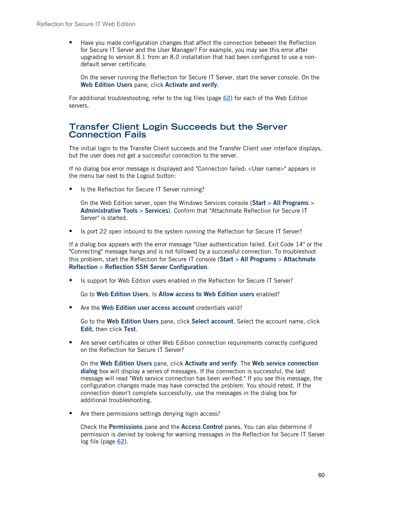**Have you made configuration changes that affect the connection between the Reflection** for Secure IT Server and the User Manager? For example, you may see this error after upgrading to version 8.1 from an 8.0 installation that had been configured to use a nondefault server certificate.

On the server running the Reflection for Secure IT Server, start the server console. On the **Web Edition Users** pane, click **Activate and verify.**

For additional troubleshooting, refer to the log files (page **[62](#page-61-0)**) for each of the Web Edition servers.

### **Transfer Client Login Succeeds but the Server Connection Fails**

The initial login to the Transfer Client succeeds and the Transfer Client user interface displays, but the user does not get a successful connection to the server.

If no dialog box error message is displayed and "Connection failed: <User name>" appears in the menu bar next to the Logout button:

■ Is the Reflection for Secure IT Server running?

On the Web Edition server, open the Windows Services console (**Start** > **All Programs** > **Administrative Tools** > **Services**). Confirm that "Attachmate Reflection for Secure IT Server" is started.

Is port 22 open inbound to the system running the Reflection for Secure IT Server?

If a dialog box appears with the error message "User authentication failed. Exit Code 14" or the "Connecting" message hangs and is not followed by a successful connection. To troubleshoot this problem, start the Reflection for Secure IT console (**Start** > **All Programs** > **Attachmate Reflection** > **Reflection SSH Server Configuration**.

■ Is support for Web Edition users enabled in the Reflection for Secure IT Server?

Go to **Web Edition Users**. Is **Allow access to Web Edition users** enabled?

■ Are the **Web Edition user access account** credentials valid?

Go to the **Web Edition Users** pane, click **Select account**. Select the account name, click **Edit**, then click **Test**.

 Are server certificates or other Web Edition connection requirements correctly configured on the Reflection for Secure IT Server?

On the **Web Edition Users** pane, click **Activate and verify**. The **Web service connection dialog** box will display a series of messages. If the connection is successful, the last message will read "Web service connection has been verified." If you see this message, the configuration changes made may have corrected the problem. You should retest. If the connection doesn't complete successfully, use the messages in the dialog box for additional troubleshooting.

■ Are there permissions settings denying login access?

Check the **Permissions** pane and the **Access Control** panes. You can also determine if permission is denied by looking for warning messages in the Reflection for Secure IT Server log file (page **[62](#page-61-0)**).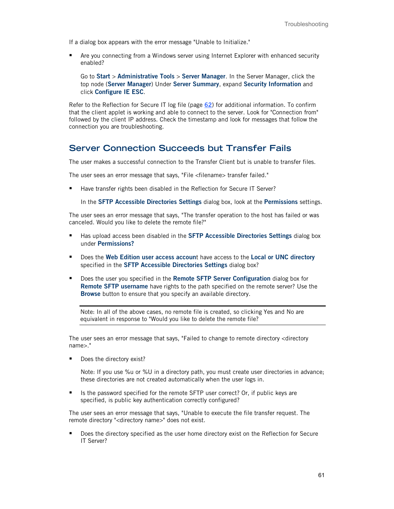If a dialog box appears with the error message "Unable to Initialize."

 Are you connecting from a Windows server using Internet Explorer with enhanced security enabled?

Go to **Start** > **Administrative Tools** > **Server Manager**. In the Server Manager, click the top node (**Server Manager**) Under **Server Summary**, expand **Security Information** and click **Configure IE ESC**.

Refer to the Reflection for Secure IT log file (page **[62](#page-61-0)**) for additional information. To confirm that the client applet is working and able to connect to the server. Look for "Connection from" followed by the client IP address. Check the timestamp and look for messages that follow the connection you are troubleshooting.

## **Server Connection Succeeds but Transfer Fails**

The user makes a successful connection to the Transfer Client but is unable to transfer files.

The user sees an error message that says, "File <filename> transfer failed."

Have transfer rights been disabled in the Reflection for Secure IT Server?

In the **SFTP Accessible Directories Settings** dialog box, look at the **Permissions** settings.

The user sees an error message that says, "The transfer operation to the host has failed or was canceled. Would you like to delete the remote file?"

- **Has upload access been disabled in the SFTP Accessible Directories Settings dialog box** under **Permissions?**
- Does the **Web Edition user access accoun**t have access to the **Local or UNC directory** specified in the **SFTP Accessible Directories Settings** dialog box?
- Does the user you specified in the **Remote SFTP Server Configuration** dialog box for **Remote SFTP username** have rights to the path specified on the remote server? Use the **Browse** button to ensure that you specify an available directory.

Note: In all of the above cases, no remote file is created, so clicking Yes and No are equivalent in response to "Would you like to delete the remote file?

The user sees an error message that says, "Failed to change to remote directory <directory name>."

Does the directory exist?

Note: If you use %u or %U in a directory path, you must create user directories in advance; these directories are not created automatically when the user logs in.

 Is the password specified for the remote SFTP user correct? Or, if public keys are specified, is public key authentication correctly configured?

The user sees an error message that says, "Unable to execute the file transfer request. The remote directory "<directory name>" does not exist.

 Does the directory specified as the user home directory exist on the Reflection for Secure IT Server?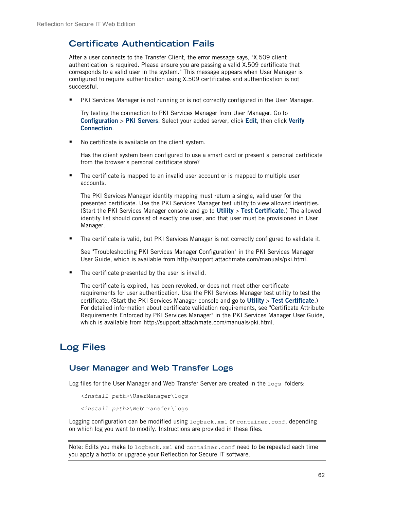## **Certificate Authentication Fails**

After a user connects to the Transfer Client, the error message says, "X.509 client authentication is required. Please ensure you are passing a valid X.509 certificate that corresponds to a valid user in the system." This message appears when User Manager is configured to require authentication using X.509 certificates and authentication is not successful.

PKI Services Manager is not running or is not correctly configured in the User Manager.

Try testing the connection to PKI Services Manager from User Manager. Go to **Configuration** > **PKI Servers**. Select your added server, click **Edit**, then click **Verify Connection**.

■ No certificate is available on the client system.

Has the client system been configured to use a smart card or present a personal certificate from the browser's personal certificate store?

 The certificate is mapped to an invalid user account or is mapped to multiple user accounts.

The PKI Services Manager identity mapping must return a single, valid user for the presented certificate. Use the PKI Services Manager test utility to view allowed identities. (Start the PKI Services Manager console and go to **Utility** > **Test Certificate**.) The allowed identity list should consist of exactly one user, and that user must be provisioned in User Manager.

The certificate is valid, but PKI Services Manager is not correctly configured to validate it.

See "Troubleshooting PKI Services Manager Configuration" in the PKI Services Manager User Guide, which is available from http://support.attachmate.com/manuals/pki.html.

The certificate presented by the user is invalid.

The certificate is expired, has been revoked, or does not meet other certificate requirements for user authentication. Use the PKI Services Manager test utility to test the certificate. (Start the PKI Services Manager console and go to **Utility** > **Test Certificate**.) For detailed information about certificate validation requirements, see "Certificate Attribute Requirements Enforced by PKI Services Manager" in the PKI Services Manager User Guide, which is available from http://support.attachmate.com/manuals/pki.html.

# <span id="page-61-0"></span>**Log Files**

### **User Manager and Web Transfer Logs**

Log files for the User Manager and Web Transfer Server are created in the  $\log s$  folders:

```
<install path>\UserManager\logs
```

```
<install path>\WebTransfer\logs
```
Logging configuration can be modified using logback.xml or container.conf, depending on which log you want to modify. Instructions are provided in these files.

```
Note: Edits you make to logback.xml and container.conf need to be repeated each time
you apply a hotfix or upgrade your Reflection for Secure IT software.
```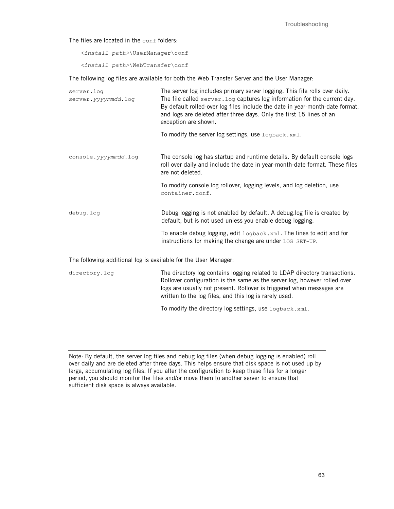Troubleshooting

The files are located in the conf folders:

*<install path>*\UserManager\conf

*<install path>*\WebTransfer\conf

The following log files are available for both the Web Transfer Server and the User Manager:

| server.log<br>server.yyymmdd.log | The server log includes primary server logging. This file rolls over daily.<br>The file called server. Log captures log information for the current day.<br>By default rolled-over log files include the date in year-month-date format,<br>and logs are deleted after three days. Only the first 15 lines of an<br>exception are shown. |  |
|----------------------------------|------------------------------------------------------------------------------------------------------------------------------------------------------------------------------------------------------------------------------------------------------------------------------------------------------------------------------------------|--|
|                                  | To modify the server log settings, use logback.xml.                                                                                                                                                                                                                                                                                      |  |
| console.yyyymmdd.log             | The console log has startup and runtime details. By default console logs<br>roll over daily and include the date in year-month-date format. These files<br>are not deleted.                                                                                                                                                              |  |
|                                  | To modify console log rollover, logging levels, and log deletion, use<br>container.conf.                                                                                                                                                                                                                                                 |  |
| debug.log                        | Debug logging is not enabled by default. A debug.log file is created by<br>default, but is not used unless you enable debug logging.                                                                                                                                                                                                     |  |
|                                  | To enable debug logging, edit $logback.xml$ . The lines to edit and for<br>instructions for making the change are under LOG SET-UP.                                                                                                                                                                                                      |  |

The following additional log is available for the User Manager:

directory.log The directory log contains logging related to LDAP directory transactions. Rollover configuration is the same as the server log, however rolled over logs are usually not present. Rollover is triggered when messages are written to the log files, and this log is rarely used.

To modify the directory log settings, use logback.xml.

Note: By default, the server log files and debug log files (when debug logging is enabled) roll over daily and are deleted after three days. This helps ensure that disk space is not used up by large, accumulating log files. If you alter the configuration to keep these files for a longer period, you should monitor the files and/or move them to another server to ensure that sufficient disk space is always available.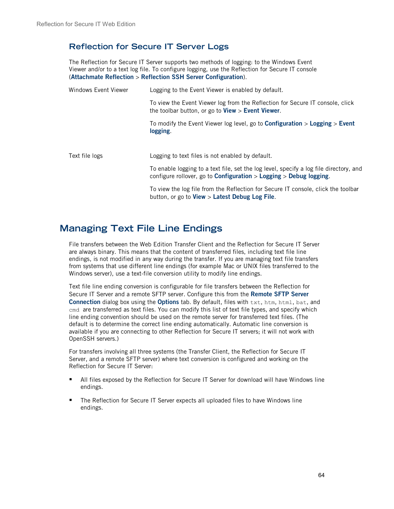## **Reflection for Secure IT Server Logs**

The Reflection for Secure IT Server supports two methods of logging: to the Windows Event Viewer and/or to a text log file. To configure logging, use the Reflection for Secure IT console (**Attachmate Reflection** > **Reflection SSH Server Configuration**).

| Windows Event Viewer | Logging to the Event Viewer is enabled by default.                                                                                                                                     |  |  |
|----------------------|----------------------------------------------------------------------------------------------------------------------------------------------------------------------------------------|--|--|
|                      | To view the Event Viewer log from the Reflection for Secure IT console, click<br>the toolbar button, or go to $View > Event$ Viewer.                                                   |  |  |
|                      | To modify the Event Viewer log level, go to <b>Configuration &gt; Logging &gt; Event</b><br>logging.                                                                                   |  |  |
| Text file logs       | Logging to text files is not enabled by default.                                                                                                                                       |  |  |
|                      | To enable logging to a text file, set the log level, specify a log file directory, and<br>configure rollover, go to <b>Configuration</b> > $\text{Logging}$ > $\text{Debug logging}$ . |  |  |
|                      | To view the log file from the Reflection for Secure IT console, click the toolbar<br>button, or go to View > Latest Debug Log File.                                                    |  |  |

# <span id="page-63-0"></span>**Managing Text File Line Endings**

File transfers between the Web Edition Transfer Client and the Reflection for Secure IT Server are always binary. This means that the content of transferred files, including text file line endings, is not modified in any way during the transfer. If you are managing text file transfers from systems that use different line endings (for example Mac or UNIX files transferred to the Windows server), use a text-file conversion utility to modify line endings.

Text file line ending conversion is configurable for file transfers between the Reflection for Secure IT Server and a remote SFTP server. Configure this from the **Remote SFTP Server Connection** dialog box using the **Options** tab. By default, files with txt, htm, html, bat, and cmd are transferred as text files. You can modify this list of text file types, and specify which line ending convention should be used on the remote server for transferred text files. (The default is to determine the correct line ending automatically. Automatic line conversion is available if you are connecting to other Reflection for Secure IT servers; it will not work with OpenSSH servers.)

For transfers involving all three systems (the Transfer Client, the Reflection for Secure IT Server, and a remote SFTP server) where text conversion is configured and working on the Reflection for Secure IT Server:

- All files exposed by the Reflection for Secure IT Server for download will have Windows line endings.
- The Reflection for Secure IT Server expects all uploaded files to have Windows line endings.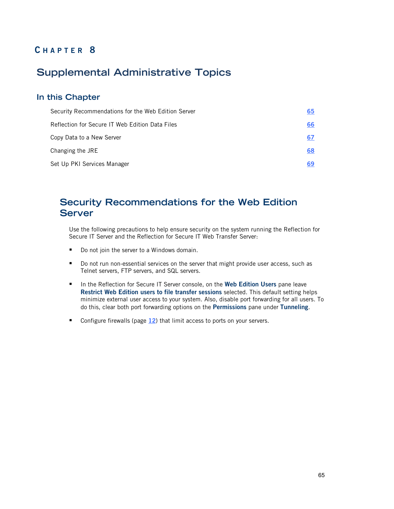# **C HAPTER 8**

# **Supplemental Administrative Topics**

### **In this Chapter**

| Security Recommendations for the Web Edition Server | 65 |
|-----------------------------------------------------|----|
| Reflection for Secure IT Web Edition Data Files     | 66 |
| Copy Data to a New Server                           | 67 |
| Changing the JRE                                    | 68 |
| Set Up PKI Services Manager                         | 69 |

# <span id="page-64-0"></span>**Security Recommendations for the Web Edition Server**

Use the following precautions to help ensure security on the system running the Reflection for Secure IT Server and the Reflection for Secure IT Web Transfer Server:

- Do not join the server to a Windows domain.
- **Do not run non-essential services on the server that might provide user access, such as** Telnet servers, FTP servers, and SQL servers.
- **IF In the Reflection for Secure IT Server console, on the Web Edition Users** pane leave **Restrict Web Edition users to file transfer sessions** selected. This default setting helps minimize external user access to your system. Also, disable port forwarding for all users. To do this, clear both port forwarding options on the **Permissions** pane under **Tunneling**.
- Configure firewalls (page [12](#page-11-0)) that limit access to ports on your servers.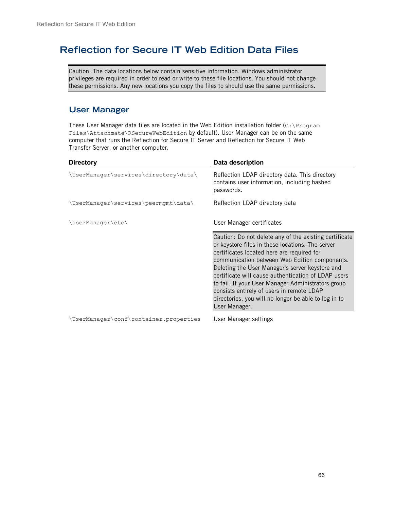# <span id="page-65-0"></span>**Reflection for Secure IT Web Edition Data Files**

Caution: The data locations below contain sensitive information. Windows administrator privileges are required in order to read or write to these file locations. You should not change these permissions. Any new locations you copy the files to should use the same permissions.

## **User Manager**

These User Manager data files are located in the Web Edition installation folder ( $C:\Per{\o}$ Files\Attachmate\RSecureWebEdition by default). User Manager can be on the same computer that runs the Reflection for Secure IT Server and Reflection for Secure IT Web Transfer Server, or another computer.

| <b>Directory</b>                       | Data description                                                                                                                                                                                                                                                                                                                                                                                                                                                                                |
|----------------------------------------|-------------------------------------------------------------------------------------------------------------------------------------------------------------------------------------------------------------------------------------------------------------------------------------------------------------------------------------------------------------------------------------------------------------------------------------------------------------------------------------------------|
| \UserManager\services\directory\data\  | Reflection LDAP directory data. This directory<br>contains user information, including hashed<br>passwords.                                                                                                                                                                                                                                                                                                                                                                                     |
| \UserManager\services\peermgmt\data\   | Reflection LDAP directory data                                                                                                                                                                                                                                                                                                                                                                                                                                                                  |
| \UserManager\etc\                      | User Manager certificates                                                                                                                                                                                                                                                                                                                                                                                                                                                                       |
|                                        | Caution: Do not delete any of the existing certificate<br>or keystore files in these locations. The server<br>certificates located here are required for<br>communication between Web Edition components.<br>Deleting the User Manager's server keystore and<br>certificate will cause authentication of LDAP users<br>to fail. If your User Manager Administrators group<br>consists entirely of users in remote LDAP<br>directories, you will no longer be able to log in to<br>User Manager. |
| \UserManager\conf\container.properties | User Manager settings                                                                                                                                                                                                                                                                                                                                                                                                                                                                           |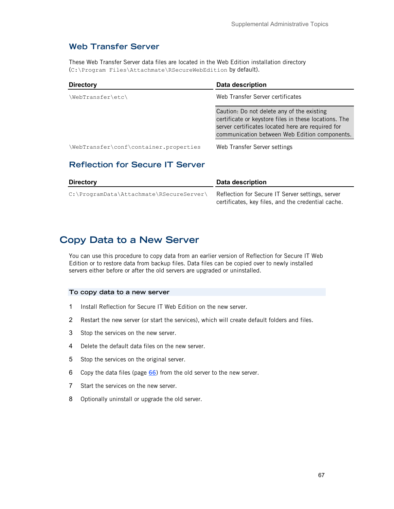## **Web Transfer Server**

These Web Transfer Server data files are located in the Web Edition installation directory (C:\Program Files\Attachmate\RSecureWebEdition by default).

| <b>Directory</b>                       | Data description                                                                                                                                                                                          |
|----------------------------------------|-----------------------------------------------------------------------------------------------------------------------------------------------------------------------------------------------------------|
| \WebTransfer\etc\                      | Web Transfer Server certificates                                                                                                                                                                          |
|                                        | Caution: Do not delete any of the existing<br>certificate or keystore files in these locations. The<br>server certificates located here are required for<br>communication between Web Edition components. |
| \WebTransfer\conf\container.properties | Web Transfer Server settings                                                                                                                                                                              |

## **Reflection for Secure IT Server**

| <b>Directory</b>                         | Data description                                                                                       |  |
|------------------------------------------|--------------------------------------------------------------------------------------------------------|--|
| C:\ProgramData\Attachmate\RSecureServer\ | Reflection for Secure IT Server settings, server<br>certificates, key files, and the credential cache. |  |

# <span id="page-66-0"></span>**Copy Data to a New Server**

You can use this procedure to copy data from an earlier version of Reflection for Secure IT Web Edition or to restore data from backup files. Data files can be copied over to newly installed servers either before or after the old servers are upgraded or uninstalled.

#### **To copy data to a new server**

- 1 Install Reflection for Secure IT Web Edition on the new server.
- 2 Restart the new server (or start the services), which will create default folders and files.
- 3 Stop the services on the new server.
- 4 Delete the default data files on the new server.
- 5 Stop the services on the original server.
- 6 Copy the data files (page **[66](#page-65-0)**) from the old server to the new server.
- 7 Start the services on the new server.
- 8 Optionally uninstall or upgrade the old server.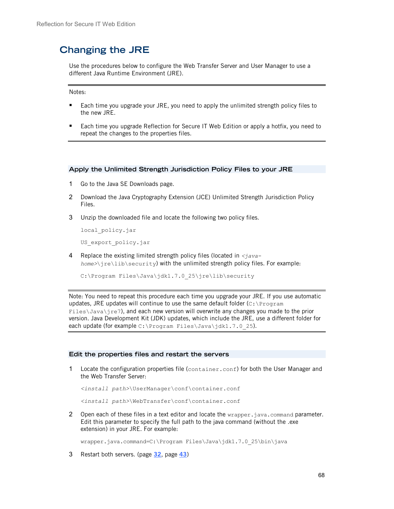# <span id="page-67-0"></span>**Changing the JRE**

Use the procedures below to configure the Web Transfer Server and User Manager to use a different Java Runtime Environment (JRE).

Notes:

- **Each time you upgrade your JRE, you need to apply the unlimited strength policy files to** the new JRE.
- **Each time you upgrade Reflection for Secure IT Web Edition or apply a hotfix, you need to** repeat the changes to the properties files.

#### **Apply the Unlimited Strength Jurisdiction Policy Files to your JRE**

- 1 Go to the Java SE Downloads page.
- 2 Download the Java Cryptography Extension (JCE) Unlimited Strength Jurisdiction Policy Files.
- 3 Unzip the downloaded file and locate the following two policy files.

local\_policy.jar

US export policy.jar

4 Replace the existing limited strength policy files (located in *<javahome>*\jre\lib\security) with the unlimited strength policy files. For example:

C:\Program Files\Java\jdk1.7.0\_25\jre\lib\security

Note: You need to repeat this procedure each time you upgrade your JRE. If you use automatic updates, JRE updates will continue to use the same default folder  $(c:\Per\gamma_{\text{max}})$ Files\Java\jre7), and each new version will overwrite any changes you made to the prior version. Java Development Kit (JDK) updates, which include the JRE, use a different folder for each update (for example C:\Program Files\Java\jdk1.7.0 25).

#### **Edit the properties files and restart the servers**

1 Locate the configuration properties file (container.conf) for both the User Manager and the Web Transfer Server:

*<install path>*\UserManager\conf\container.conf

*<install path>*\WebTransfer\conf\container.conf

2 Open each of these files in a text editor and locate the wrapper.java.command parameter. Edit this parameter to specify the full path to the java command (without the .exe extension) in your JRE. For example:

wrapper.java.command=C:\Program Files\Java\jdk1.7.0 25\bin\java

3 Restart both servers. (page **[32](#page-31-0)**, page **[43](#page-42-0)**)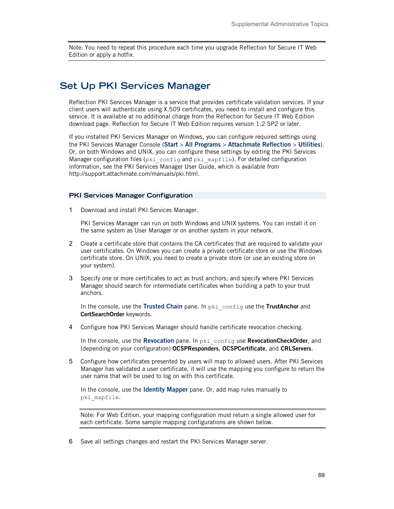Note: You need to repeat this procedure each time you upgrade Reflection for Secure IT Web Edition or apply a hotfix.

# <span id="page-68-0"></span>**Set Up PKI Services Manager**

Reflection PKI Services Manager is a service that provides certificate validation services. If your client users will authenticate using X.509 certificates, you need to install and configure this service. It is available at no additional charge from the Reflection for Secure IT Web Edition download page. Reflection for Secure IT Web Edition requires version 1.2 SP2 or later.

If you installed PKI Services Manager on Windows, you can configure required settings using the PKI Services Manager Console (**Start** > **All Programs** > **Attachmate Reflection** > **Utilities**). Or, on both Windows and UNIX, you can configure these settings by editing the PKI Services Manager configuration files (pki config and pki mapfile). For detailed configuration information, see the PKI Services Manager User Guide, which is available from http://support.attachmate.com/manuals/pki.html.

#### **PKI Services Manager Configuration**

1 Download and install PKI Services Manager.

PKI Services Manager can run on both Windows and UNIX systems. You can install it on the same system as User Manager or on another system in your network.

- 2 Create a certificate store that contains the CA certificates that are required to validate your user certificates. On Windows you can create a private certificate store or use the Windows certificate store. On UNIX, you need to create a private store (or use an existing store on your system).
- 3 Specify one or more certificates to act as trust anchors; and specify where PKI Services Manager should search for intermediate certificates when building a path to your trust anchors.

In the console, use the **Trusted Chain** pane. In pki\_config use the **TrustAnchor** and **CertSearchOrder** keywords.

4 Configure how PKI Services Manager should handle certificate revocation checking.

In the console, use the **Revocation** pane. In pki\_config use **RevocationCheckOrder**, and (depending on your configuration) **OCSPResponders**, **OCSPCertificate**, and **CRLServers**.

5 Configure how certificates presented by users will map to allowed users. After PKI Services Manager has validated a user certificate, it will use the mapping you configure to return the user name that will be used to log on with this certificate.

In the console, use the **Identity Mapper** pane. Or, add map rules manually to pki\_mapfile.

Note: For Web Edition, your mapping configuration must return a single allowed user for each certificate. Some sample mapping configurations are shown below.

6 Save all settings changes and restart the PKI Services Manager server.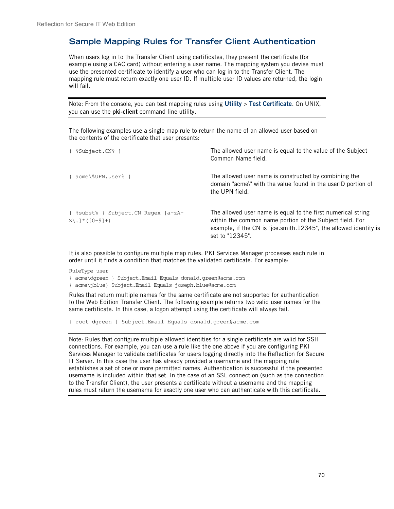## **Sample Mapping Rules for Transfer Client Authentication**

When users log in to the Transfer Client using certificates, they present the certificate (for example using a CAC card) without entering a user name. The mapping system you devise must use the presented certificate to identify a user who can log in to the Transfer Client. The mapping rule must return exactly one user ID. If multiple user ID values are returned, the login will fail.

Note: From the console, you can test mapping rules using **Utility** > **Test Certificate**. On UNIX, you can use the **pki-client** command line utility.

The following examples use a single map rule to return the name of an allowed user based on the contents of the certificate that user presents:

| { %Subject.CN% }                                                          | The allowed user name is equal to the value of the Subject<br>Common Name field.                                                                                                                                |
|---------------------------------------------------------------------------|-----------------------------------------------------------------------------------------------------------------------------------------------------------------------------------------------------------------|
| { acme\%UPN.User% }                                                       | The allowed user name is constructed by combining the<br>domain "acme\" with the value found in the userID portion of<br>the UPN field.                                                                         |
| { %subst% } Subject. CN Regex [a-zA-<br>$Z\backslash$ . $\mid$ * ([0-9]+) | The allowed user name is equal to the first numerical string<br>within the common name portion of the Subject field. For<br>example, if the CN is "joe.smith.12345", the allowed identity is<br>set to "12345". |

It is also possible to configure multiple map rules. PKI Services Manager processes each rule in order until it finds a condition that matches the validated certificate. For example:

RuleType user

{ acme\dgreen } Subject.Email Equals donald.green@acme.com { acme\jblue} Subject.Email Equals joseph.blue@acme.com

Rules that return multiple names for the same certificate are not supported for authentication to the Web Edition Transfer Client. The following example returns two valid user names for the same certificate. In this case, a logon attempt using the certificate will always fail.

{ root dgreen } Subject.Email Equals donald.green@acme.com

Note: Rules that configure multiple allowed identities for a single certificate are valid for SSH connections. For example, you can use a rule like the one above if you are configuring PKI Services Manager to validate certificates for users logging directly into the Reflection for Secure IT Server. In this case the user has already provided a username and the mapping rule establishes a set of one or more permitted names. Authentication is successful if the presented username is included within that set. In the case of an SSL connection (such as the connection to the Transfer Client), the user presents a certificate without a username and the mapping rules must return the username for exactly one user who can authenticate with this certificate.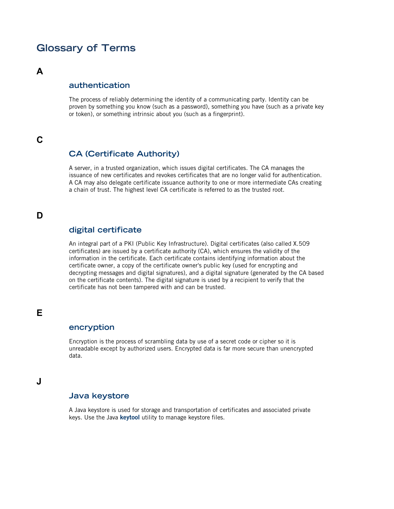# **Glossary of Terms**

### **A**

### **authentication**

The process of reliably determining the identity of a communicating party. Identity can be proven by something you know (such as a password), something you have (such as a private key or token), or something intrinsic about you (such as a fingerprint).

## <span id="page-70-0"></span>**C**

### **CA (Certificate Authority)**

A server, in a trusted organization, which issues digital certificates. The CA manages the issuance of new certificates and revokes certificates that are no longer valid for authentication. A CA may also delegate certificate issuance authority to one or more intermediate CAs creating a chain of trust. The highest level CA certificate is referred to as the trusted root.

### <span id="page-70-1"></span>**D**

### **digital certificate**

An integral part of a PKI (Public Key Infrastructure). Digital certificates (also called X.509 certificates) are issued by a certificate authority (CA), which ensures the validity of the information in the certificate. Each certificate contains identifying information about the certificate owner, a copy of the certificate owner's public key (used for encrypting and decrypting messages and digital signatures), and a digital signature (generated by the CA based on the certificate contents). The digital signature is used by a recipient to verify that the certificate has not been tampered with and can be trusted.

### **E**

### **encryption**

Encryption is the process of scrambling data by use of a secret code or cipher so it is unreadable except by authorized users. Encrypted data is far more secure than unencrypted data.

### **J**

## **Java keystore**

A Java keystore is used for storage and transportation of certificates and associated private keys. Use the Java **keytool** utility to manage keystore files.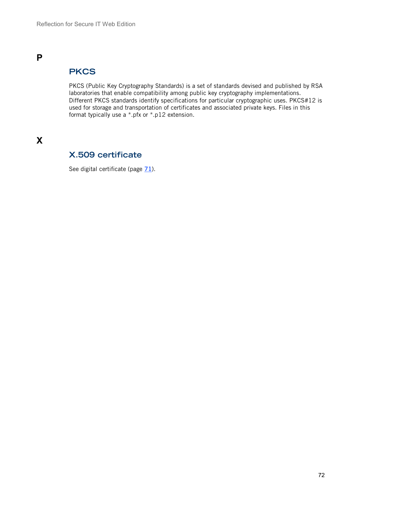# **PKCS**

PKCS (Public Key Cryptography Standards) is a set of standards devised and published by RSA laboratories that enable compatibility among public key cryptography implementations. Different PKCS standards identify specifications for particular cryptographic uses. PKCS#12 is used for storage and transportation of certificates and associated private keys. Files in this format typically use a \*.pfx or \*.p12 extension.

# **X**

# **X.509 certificate**

See digital certificate (page  $\frac{71}{2}$  $\frac{71}{2}$  $\frac{71}{2}$ ).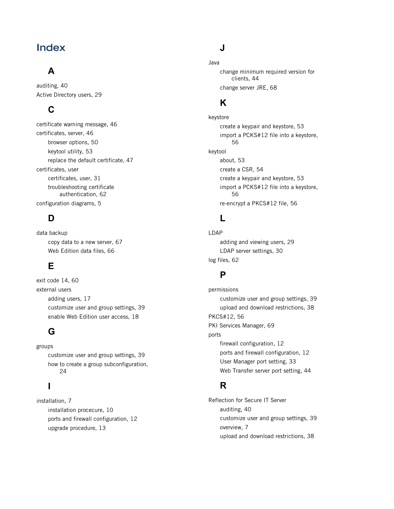## **Index**

# **A**

auditing, 40 Active Directory users, 29

## **C**

certificate warning message, 46 certificates, server, 46 browser options, 50 keytool utility, 53 replace the default certificate, 47 certificates, user certificates, user, 31 troubleshooting certificate authentication, 62 configuration diagrams, 5

### **D**

data backup copy data to a new server, 67 Web Edition data files, 66

# **E**

exit code 14, 60 external users adding users, 17 customize user and group settings, 39 enable Web Edition user access, 18

## **G**

groups customize user and group settings, 39 how to create a group subconfiguration, 24

#### **I**

installation, 7 installation procecure, 10 ports and firewall configuration, 12 upgrade procedure, 13

#### **J**

Java change minimum required version for clients, 44 change server JRE, 68

### **K**

keystore create a keypair and keystore, 53 import a PCKS#12 file into a keystore, 56 keytool about, 53 create a CSR, 54 create a keypair and keystore, 53 import a PCKS#12 file into a keystore, 56 re-encrypt a PKCS#12 file, 56

#### **L**

LDAP adding and viewing users, 29 LDAP server settings, 30 log files, 62

#### **P**

permissions customize user and group settings, 39 upload and download restrictions, 38 PKCS#12, 56 PKI Services Manager, 69 ports firewall configuration, 12 ports and firewall configuration, 12 User Manager port setting, 33 Web Transfer server port setting, 44

#### **R**

Reflection for Secure IT Server auditing, 40 customize user and group settings, 39 overview, 7 upload and download restrictions, 38